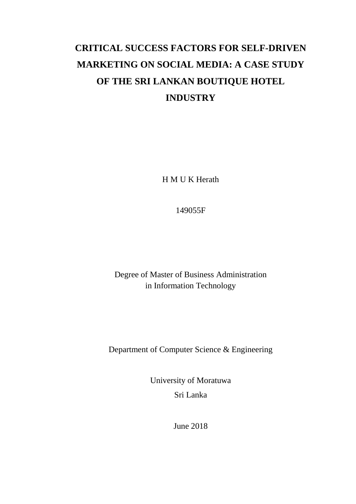# **CRITICAL SUCCESS FACTORS FOR SELF-DRIVEN MARKETING ON SOCIAL MEDIA: A CASE STUDY OF THE SRI LANKAN BOUTIQUE HOTEL INDUSTRY**

H M U K Herath

149055F

Degree of Master of Business Administration in Information Technology

Department of Computer Science & Engineering

University of Moratuwa Sri Lanka

June 2018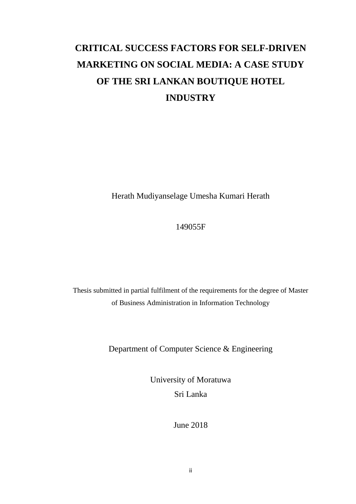# **CRITICAL SUCCESS FACTORS FOR SELF-DRIVEN MARKETING ON SOCIAL MEDIA: A CASE STUDY OF THE SRI LANKAN BOUTIQUE HOTEL INDUSTRY**

Herath Mudiyanselage Umesha Kumari Herath

# 149055F

Thesis submitted in partial fulfilment of the requirements for the degree of Master of Business Administration in Information Technology

Department of Computer Science & Engineering

University of Moratuwa Sri Lanka

June 2018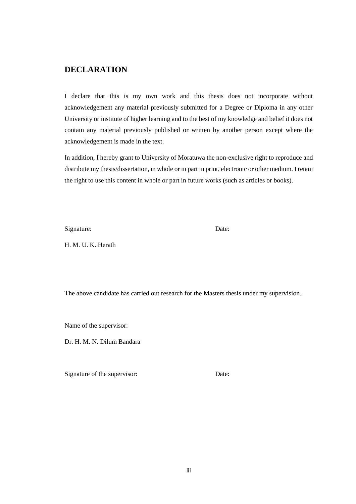# <span id="page-2-0"></span>**DECLARATION**

I declare that this is my own work and this thesis does not incorporate without acknowledgement any material previously submitted for a Degree or Diploma in any other University or institute of higher learning and to the best of my knowledge and belief it does not contain any material previously published or written by another person except where the acknowledgement is made in the text.

In addition, I hereby grant to University of Moratuwa the non-exclusive right to reproduce and distribute my thesis/dissertation, in whole or in part in print, electronic or other medium. I retain the right to use this content in whole or part in future works (such as articles or books).

Signature: Date:

H. M. U. K. Herath

The above candidate has carried out research for the Masters thesis under my supervision.

Name of the supervisor:

Dr. H. M. N. Dilum Bandara

Signature of the supervisor: Date: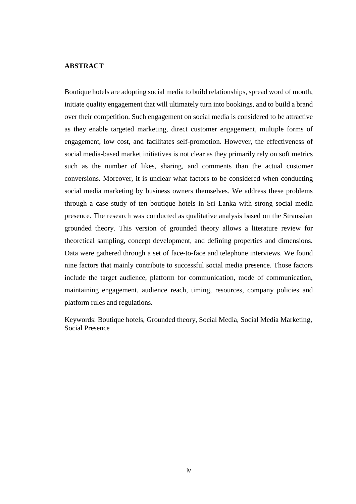#### <span id="page-3-0"></span>**ABSTRACT**

Boutique hotels are adopting social media to build relationships, spread word of mouth, initiate quality engagement that will ultimately turn into bookings, and to build a brand over their competition. Such engagement on social media is considered to be attractive as they enable targeted marketing, direct customer engagement, multiple forms of engagement, low cost, and facilitates self-promotion. However, the effectiveness of social media-based market initiatives is not clear as they primarily rely on soft metrics such as the number of likes, sharing, and comments than the actual customer conversions. Moreover, it is unclear what factors to be considered when conducting social media marketing by business owners themselves. We address these problems through a case study of ten boutique hotels in Sri Lanka with strong social media presence. The research was conducted as qualitative analysis based on the Straussian grounded theory. This version of grounded theory allows a literature review for theoretical sampling, concept development, and defining properties and dimensions. Data were gathered through a set of face-to-face and telephone interviews. We found nine factors that mainly contribute to successful social media presence. Those factors include the target audience, platform for communication, mode of communication, maintaining engagement, audience reach, timing, resources, company policies and platform rules and regulations.

Keywords: Boutique hotels, Grounded theory, Social Media, Social Media Marketing, Social Presence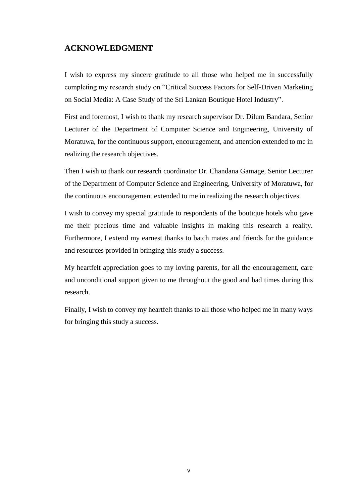# <span id="page-4-0"></span>**ACKNOWLEDGMENT**

I wish to express my sincere gratitude to all those who helped me in successfully completing my research study on "Critical Success Factors for Self-Driven Marketing on Social Media: A Case Study of the Sri Lankan Boutique Hotel Industry".

First and foremost, I wish to thank my research supervisor Dr. Dilum Bandara, Senior Lecturer of the Department of Computer Science and Engineering, University of Moratuwa, for the continuous support, encouragement, and attention extended to me in realizing the research objectives.

Then I wish to thank our research coordinator Dr. Chandana Gamage, Senior Lecturer of the Department of Computer Science and Engineering, University of Moratuwa, for the continuous encouragement extended to me in realizing the research objectives.

I wish to convey my special gratitude to respondents of the boutique hotels who gave me their precious time and valuable insights in making this research a reality. Furthermore, I extend my earnest thanks to batch mates and friends for the guidance and resources provided in bringing this study a success.

My heartfelt appreciation goes to my loving parents, for all the encouragement, care and unconditional support given to me throughout the good and bad times during this research.

Finally, I wish to convey my heartfelt thanks to all those who helped me in many ways for bringing this study a success.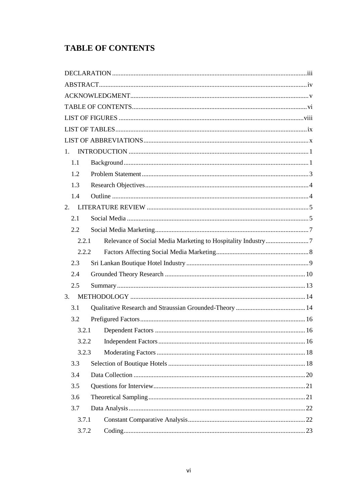# <span id="page-5-0"></span>**TABLE OF CONTENTS**

| $1_{-}$ |  |
|---------|--|
| 1.1     |  |
| 1.2     |  |
| 1.3     |  |
| 1.4     |  |
| 2.      |  |
| 2.1     |  |
| 2.2     |  |
| 2.2.1   |  |
| 2.2.2   |  |
| 2.3     |  |
| 2.4     |  |
| 2.5     |  |
| 3.      |  |
| 3.1     |  |
| 3.2     |  |
| 3.2.1   |  |
| 3.2.2   |  |
| 3.2.3   |  |
| 3.3     |  |
| 3.4     |  |
| 3.5     |  |
| 3.6     |  |
| 3.7     |  |
| 3.7.1   |  |
| 3.7.2   |  |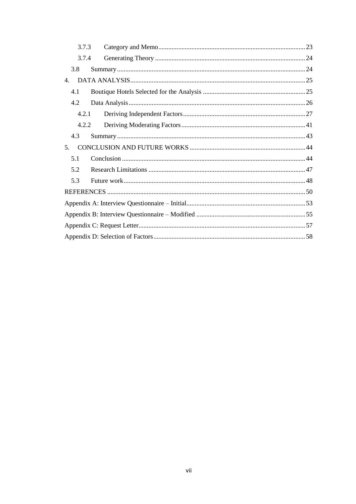| 3.7.3          |  |  |  |  |  |
|----------------|--|--|--|--|--|
| 3.7.4          |  |  |  |  |  |
| 3.8            |  |  |  |  |  |
| $\mathbf{4}$ . |  |  |  |  |  |
| 4.1            |  |  |  |  |  |
| 4.2            |  |  |  |  |  |
| 4.2.1          |  |  |  |  |  |
| 4.2.2          |  |  |  |  |  |
| 4.3            |  |  |  |  |  |
| 5 <sub>1</sub> |  |  |  |  |  |
| 5.1            |  |  |  |  |  |
| 5.2            |  |  |  |  |  |
| 5.3            |  |  |  |  |  |
|                |  |  |  |  |  |
|                |  |  |  |  |  |
|                |  |  |  |  |  |
|                |  |  |  |  |  |
|                |  |  |  |  |  |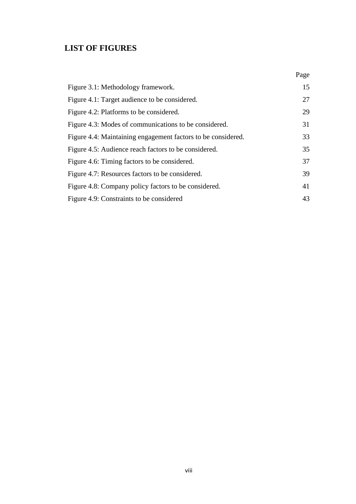# <span id="page-7-0"></span>**LIST OF FIGURES**

|                                                              | Page |
|--------------------------------------------------------------|------|
| Figure 3.1: Methodology framework.                           | 15   |
| Figure 4.1: Target audience to be considered.                | 27   |
| Figure 4.2: Platforms to be considered.                      | 29   |
| Figure 4.3: Modes of communications to be considered.        | 31   |
| Figure 4.4: Maintaining engagement factors to be considered. | 33   |
| Figure 4.5: Audience reach factors to be considered.         | 35   |
| Figure 4.6: Timing factors to be considered.                 | 37   |
| Figure 4.7: Resources factors to be considered.              | 39   |
| Figure 4.8: Company policy factors to be considered.         | 41   |
| Figure 4.9: Constraints to be considered                     | 43   |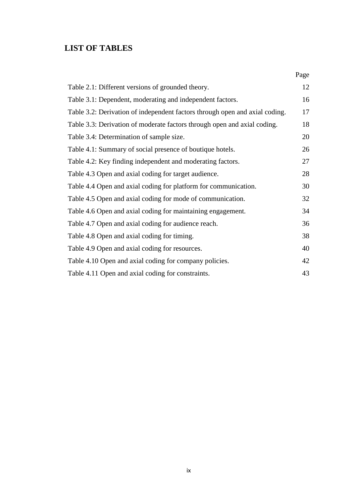# <span id="page-8-0"></span>**LIST OF TABLES**

|                                                                             | Page |
|-----------------------------------------------------------------------------|------|
| Table 2.1: Different versions of grounded theory.                           | 12   |
| Table 3.1: Dependent, moderating and independent factors.                   | 16   |
| Table 3.2: Derivation of independent factors through open and axial coding. | 17   |
| Table 3.3: Derivation of moderate factors through open and axial coding.    | 18   |
| Table 3.4: Determination of sample size.                                    | 20   |
| Table 4.1: Summary of social presence of boutique hotels.                   | 26   |
| Table 4.2: Key finding independent and moderating factors.                  | 27   |
| Table 4.3 Open and axial coding for target audience.                        | 28   |
| Table 4.4 Open and axial coding for platform for communication.             | 30   |
| Table 4.5 Open and axial coding for mode of communication.                  | 32   |
| Table 4.6 Open and axial coding for maintaining engagement.                 | 34   |
| Table 4.7 Open and axial coding for audience reach.                         | 36   |
| Table 4.8 Open and axial coding for timing.                                 | 38   |
| Table 4.9 Open and axial coding for resources.                              | 40   |
| Table 4.10 Open and axial coding for company policies.                      | 42   |
| Table 4.11 Open and axial coding for constraints.                           | 43   |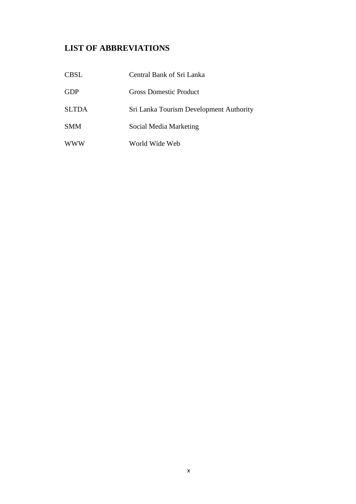# <span id="page-9-0"></span>**LIST OF ABBREVIATIONS**

| <b>CBSL</b>  | Central Bank of Sri Lanka               |
|--------------|-----------------------------------------|
| <b>GDP</b>   | <b>Gross Domestic Product</b>           |
| <b>SLTDA</b> | Sri Lanka Tourism Development Authority |
| <b>SMM</b>   | Social Media Marketing                  |
| www          | World Wide Web                          |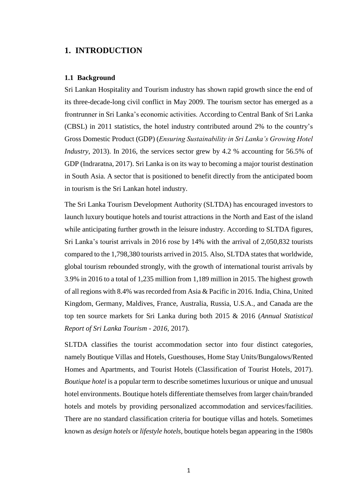## <span id="page-10-0"></span>**1. INTRODUCTION**

#### <span id="page-10-1"></span>**1.1 Background**

Sri Lankan Hospitality and Tourism industry has shown rapid growth since the end of its three-decade-long civil conflict in May 2009. The tourism sector has emerged as a frontrunner in Sri Lanka's economic activities. According to Central Bank of Sri Lanka (CBSL) in 2011 statistics, the hotel industry contributed around 2% to the country's Gross Domestic Product (GDP) (*Ensuring Sustainability in Sri Lanka's Growing Hotel Industry*, 2013). In 2016, the services sector grew by 4.2 % accounting for 56.5% of GDP (Indraratna, 2017). Sri Lanka is on its way to becoming a major tourist destination in South Asia. A sector that is positioned to benefit directly from the anticipated boom in tourism is the Sri Lankan hotel industry.

The Sri Lanka Tourism Development Authority (SLTDA) has encouraged investors to launch luxury boutique hotels and tourist attractions in the North and East of the island while anticipating further growth in the leisure industry. According to SLTDA figures, Sri Lanka's tourist arrivals in 2016 rose by 14% with the arrival of 2,050,832 tourists compared to the 1,798,380 tourists arrived in 2015. Also, SLTDA states that worldwide, global tourism rebounded strongly, with the growth of international tourist arrivals by 3.9% in 2016 to a total of 1,235 million from 1,189 million in 2015. The highest growth of all regions with 8.4% was recorded from Asia & Pacific in 2016. India, China, United Kingdom, Germany, Maldives, France, Australia, Russia, U.S.A., and Canada are the top ten source markets for Sri Lanka during both 2015 & 2016 (*Annual Statistical Report of Sri Lanka Tourism - 2016*, 2017).

SLTDA classifies the tourist accommodation sector into four distinct categories, namely Boutique Villas and Hotels, Guesthouses, Home Stay Units/Bungalows/Rented Homes and Apartments, and Tourist Hotels (Classification of Tourist Hotels, 2017). *Boutique hotel* is a popular term to describe sometimes luxurious or unique and unusual hotel environments. Boutique hotels differentiate themselves from larger chain/branded hotels and motels by providing personalized accommodation and services/facilities. There are no standard classification criteria for boutique villas and hotels. Sometimes known as *design hotels* or *lifestyle hotels*, boutique hotels began appearing in the 1980s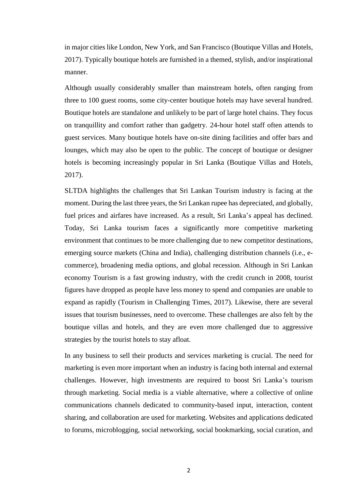in major cities like London, New York, and San Francisco (Boutique Villas and Hotels, 2017). Typically boutique hotels are furnished in a themed, stylish, and/or inspirational manner.

Although usually considerably smaller than mainstream hotels, often ranging from three to 100 guest rooms, some city-center boutique hotels may have several hundred. Boutique hotels are standalone and unlikely to be part of large hotel chains. They focus on tranquillity and comfort rather than gadgetry. 24-hour hotel staff often attends to guest services. Many boutique hotels have on-site dining facilities and offer bars and lounges, which may also be open to the public. The concept of boutique or designer hotels is becoming increasingly popular in Sri Lanka (Boutique Villas and Hotels, 2017).

SLTDA highlights the challenges that Sri Lankan Tourism industry is facing at the moment. During the last three years, the Sri Lankan rupee has depreciated, and globally, fuel prices and airfares have increased. As a result, Sri Lanka's appeal has declined. Today, Sri Lanka tourism faces a significantly more competitive marketing environment that continues to be more challenging due to new competitor destinations, emerging source markets (China and India), challenging distribution channels (i.e., ecommerce), broadening media options, and global recession. Although in Sri Lankan economy Tourism is a fast growing industry, with the credit crunch in 2008, tourist figures have dropped as people have less money to spend and companies are unable to expand as rapidly (Tourism in Challenging Times, 2017). Likewise, there are several issues that tourism businesses, need to overcome. These challenges are also felt by the boutique villas and hotels, and they are even more challenged due to aggressive strategies by the tourist hotels to stay afloat.

In any business to sell their products and services marketing is crucial. The need for marketing is even more important when an industry is facing both internal and external challenges. However, high investments are required to boost Sri Lanka's tourism through marketing. Social media is a viable alternative, where a collective of online communications channels dedicated to community-based input, interaction, content sharing, and collaboration are used for marketing. Websites and applications dedicated to forums, microblogging, social networking, social bookmarking, social curation, and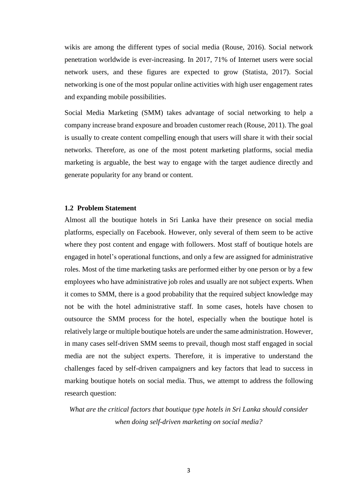wikis are among the different types of social media (Rouse, 2016). Social network penetration worldwide is ever-increasing. In 2017, 71% of Internet users were social network users, and these figures are expected to grow (Statista, 2017). Social networking is one of the most popular online activities with high user engagement rates and expanding mobile possibilities.

Social Media Marketing (SMM) takes advantage of social networking to help a company increase brand exposure and broaden customer reach (Rouse, 2011). The goal is usually to create content compelling enough that users will share it with their social networks. Therefore, as one of the most potent marketing platforms, social media marketing is arguable, the best way to engage with the target audience directly and generate popularity for any brand or content.

#### <span id="page-12-0"></span>**1.2 Problem Statement**

Almost all the boutique hotels in Sri Lanka have their presence on social media platforms, especially on Facebook. However, only several of them seem to be active where they post content and engage with followers. Most staff of boutique hotels are engaged in hotel's operational functions, and only a few are assigned for administrative roles. Most of the time marketing tasks are performed either by one person or by a few employees who have administrative job roles and usually are not subject experts. When it comes to SMM, there is a good probability that the required subject knowledge may not be with the hotel administrative staff. In some cases, hotels have chosen to outsource the SMM process for the hotel, especially when the boutique hotel is relatively large or multiple boutique hotels are under the same administration. However, in many cases self-driven SMM seems to prevail, though most staff engaged in social media are not the subject experts. Therefore, it is imperative to understand the challenges faced by self-driven campaigners and key factors that lead to success in marking boutique hotels on social media. Thus, we attempt to address the following research question:

*What are the critical factors that boutique type hotels in Sri Lanka should consider when doing self-driven marketing on social media?*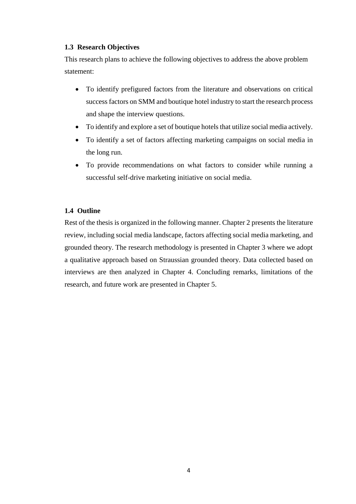#### <span id="page-13-0"></span>**1.3 Research Objectives**

This research plans to achieve the following objectives to address the above problem statement:

- To identify prefigured factors from the literature and observations on critical success factors on SMM and boutique hotel industry to start the research process and shape the interview questions.
- To identify and explore a set of boutique hotels that utilize social media actively.
- To identify a set of factors affecting marketing campaigns on social media in the long run.
- To provide recommendations on what factors to consider while running a successful self-drive marketing initiative on social media.

## <span id="page-13-1"></span>**1.4 Outline**

Rest of the thesis is organized in the following manner. Chapter 2 presents the literature review, including social media landscape, factors affecting social media marketing, and grounded theory. The research methodology is presented in Chapter 3 where we adopt a qualitative approach based on Straussian grounded theory. Data collected based on interviews are then analyzed in Chapter 4. Concluding remarks, limitations of the research, and future work are presented in Chapter 5.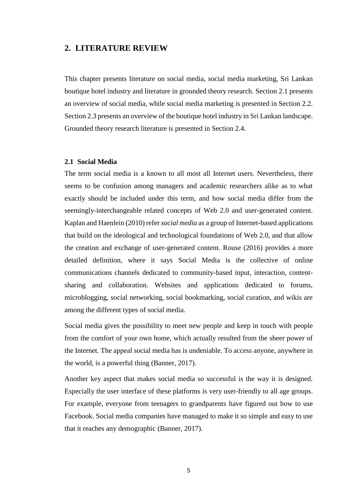#### <span id="page-14-0"></span>**2. LITERATURE REVIEW**

This chapter presents literature on social media, social media marketing, Sri Lankan boutique hotel industry and literature in grounded theory research. Section 2.1 presents an overview of social media, while social media marketing is presented in Section 2.2. Section 2.3 presents an overview of the boutique hotel industry in Sri Lankan landscape. Grounded theory research literature is presented in Section 2.4.

#### <span id="page-14-1"></span>**2.1 Social Media**

The term social media is a known to all most all Internet users. Nevertheless, there seems to be confusion among managers and academic researchers alike as to what exactly should be included under this term, and how social media differ from the seemingly-interchangeable related concepts of Web 2.0 and user-generated content. Kaplan and Haenlein (2010) refer*social media* as a group of Internet-based applications that build on the ideological and technological foundations of Web 2.0, and that allow the creation and exchange of user-generated content. Rouse (2016) provides a more detailed definition, where it says Social Media is the collective of online communications channels dedicated to community-based input, interaction, contentsharing and collaboration. Websites and applications dedicated to forums, microblogging, social networking, social bookmarking, social curation, and wikis are among the different types of social media.

Social media gives the possibility to meet new people and keep in touch with people from the comfort of your own home, which actually resulted from the sheer power of the Internet. The appeal social media has is undeniable. To access anyone, anywhere in the world, is a powerful thing (Banner, 2017).

Another key aspect that makes social media so successful is the way it is designed. Especially the user interface of these platforms is very user-friendly to all age groups. For example, everyone from teenagers to grandparents have figured out how to use Facebook. Social media companies have managed to make it so simple and easy to use that it reaches any demographic (Banner, 2017).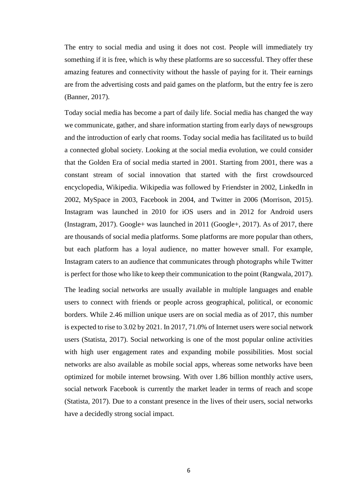The entry to social media and using it does not cost. People will immediately try something if it is free, which is why these platforms are so successful. They offer these amazing features and connectivity without the hassle of paying for it. Their earnings are from the advertising costs and paid games on the platform, but the entry fee is zero (Banner, 2017).

Today social media has become a part of daily life. Social media has changed the way we communicate, gather, and share information starting from early days of newsgroups and the introduction of early chat rooms. Today social media has facilitated us to build a connected global society. Looking at the social media evolution, we could consider that the Golden Era of social media started in 2001. Starting from 2001, there was a constant stream of social innovation that started with the first crowdsourced encyclopedia, Wikipedia. Wikipedia was followed by Friendster in 2002, LinkedIn in 2002, MySpace in 2003, Facebook in 2004, and Twitter in 2006 (Morrison, 2015). Instagram was launched in 2010 for iOS users and in 2012 for Android users (Instagram, 2017). Google+ was launched in 2011 (Google+, 2017). As of 2017, there are thousands of social media platforms. Some platforms are more popular than others, but each platform has a loyal audience, no matter however small. For example, Instagram caters to an audience that communicates through photographs while Twitter is perfect for those who like to keep their communication to the point (Rangwala, 2017).

The leading social networks are usually available in multiple languages and enable users to connect with friends or people across geographical, political, or economic borders. While 2.46 million unique users are on social media as of 2017, this number is expected to rise to 3.02 by 2021. In 2017, 71.0% of Internet users were social network users (Statista, 2017). Social networking is one of the most popular online activities with high user engagement rates and expanding mobile possibilities. Most social networks are also available as mobile social apps, whereas some networks have been optimized for mobile internet browsing. With over 1.86 billion monthly active users, social network Facebook is currently the market leader in terms of reach and scope (Statista, 2017). Due to a constant presence in the lives of their users, social networks have a decidedly strong social impact.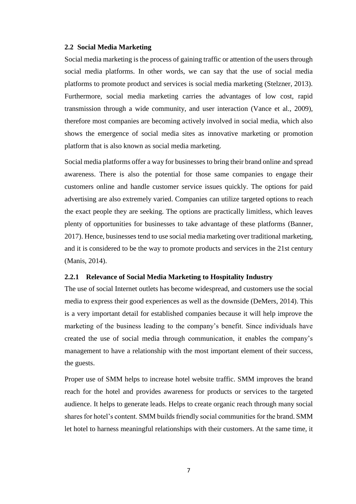#### <span id="page-16-0"></span>**2.2 Social Media Marketing**

Social media marketing is the process of gaining traffic or attention of the users through social media platforms. In other words, we can say that the use of social media platforms to promote product and services is social media marketing (Stelzner, 2013). Furthermore, social media marketing carries the advantages of low cost, rapid transmission through a wide community, and user interaction (Vance et al., 2009), therefore most companies are becoming actively involved in social media, which also shows the emergence of social media sites as innovative marketing or promotion platform that is also known as social media marketing.

Social media platforms offer a way for businesses to bring their brand online and spread awareness. There is also the potential for those same companies to engage their customers online and handle customer service issues quickly. The options for paid advertising are also extremely varied. Companies can utilize targeted options to reach the exact people they are seeking. The options are practically limitless, which leaves plenty of opportunities for businesses to take advantage of these platforms (Banner, 2017). Hence, businesses tend to use social media marketing over traditional marketing, and it is considered to be the way to promote products and services in the 21st century (Manis, 2014).

#### <span id="page-16-1"></span>**2.2.1 Relevance of Social Media Marketing to Hospitality Industry**

The use of social Internet outlets has become widespread, and customers use the social media to express their good experiences as well as the downside (DeMers, 2014). This is a very important detail for established companies because it will help improve the marketing of the business leading to the company's benefit. Since individuals have created the use of social media through communication, it enables the company's management to have a relationship with the most important element of their success, the guests.

Proper use of SMM helps to increase hotel website traffic. SMM improves the brand reach for the hotel and provides awareness for products or services to the targeted audience. It helps to generate leads. Helps to create organic reach through many social shares for hotel's content. SMM builds friendly social communities for the brand. SMM let hotel to harness meaningful relationships with their customers. At the same time, it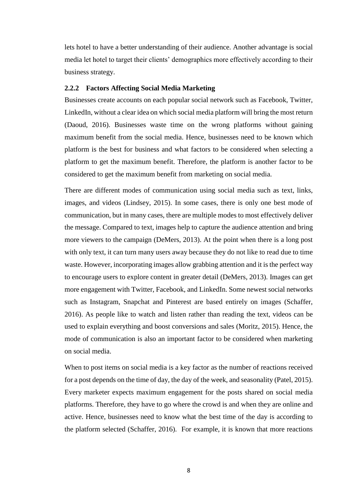lets hotel to have a better understanding of their audience. Another advantage is social media let hotel to target their clients' demographics more effectively according to their business strategy.

#### <span id="page-17-0"></span>**2.2.2 Factors Affecting Social Media Marketing**

Businesses create accounts on each popular social network such as Facebook, Twitter, LinkedIn, without a clear idea on which social media platform will bring the most return (Daoud, 2016). Businesses waste time on the wrong platforms without gaining maximum benefit from the social media. Hence, businesses need to be known which platform is the best for business and what factors to be considered when selecting a platform to get the maximum benefit. Therefore, the platform is another factor to be considered to get the maximum benefit from marketing on social media.

There are different modes of communication using social media such as text, links, images, and videos (Lindsey, 2015). In some cases, there is only one best mode of communication, but in many cases, there are multiple modes to most effectively deliver the message. Compared to text, images help to capture the audience attention and bring more viewers to the campaign (DeMers, 2013). At the point when there is a long post with only text, it can turn many users away because they do not like to read due to time waste. However, incorporating images allow grabbing attention and it is the perfect way to encourage users to explore content in greater detail (DeMers, 2013). Images can get more engagement with Twitter, Facebook, and LinkedIn. Some newest social networks such as Instagram, Snapchat and Pinterest are based entirely on images (Schaffer, 2016). As people like to watch and listen rather than reading the text, videos can be used to explain everything and boost conversions and sales (Moritz, 2015). Hence, the mode of communication is also an important factor to be considered when marketing on social media.

When to post items on social media is a key factor as the number of reactions received for a post depends on the time of day, the day of the week, and seasonality (Patel, 2015). Every marketer expects maximum engagement for the posts shared on social media platforms. Therefore, they have to go where the crowd is and when they are online and active. Hence, businesses need to know what the best time of the day is according to the platform selected (Schaffer, 2016). For example, it is known that more reactions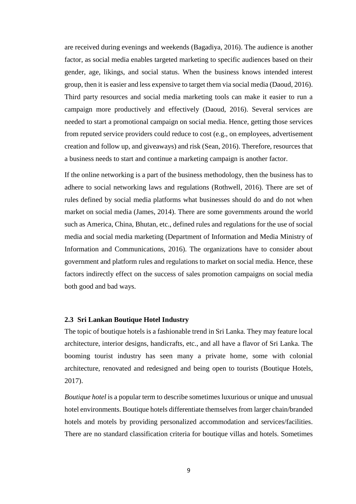are received during evenings and weekends (Bagadiya, 2016). The audience is another factor, as social media enables targeted marketing to specific audiences based on their gender, age, likings, and social status. When the business knows intended interest group, then it is easier and less expensive to target them via social media (Daoud, 2016). Third party resources and social media marketing tools can make it easier to run a campaign more productively and effectively (Daoud, 2016). Several services are needed to start a promotional campaign on social media. Hence, getting those services from reputed service providers could reduce to cost (e.g., on employees, advertisement creation and follow up, and giveaways) and risk (Sean, 2016). Therefore, resources that a business needs to start and continue a marketing campaign is another factor.

If the online networking is a part of the business methodology, then the business has to adhere to social networking laws and regulations (Rothwell, 2016). There are set of rules defined by social media platforms what businesses should do and do not when market on social media (James, 2014). There are some governments around the world such as America, China, Bhutan, etc., defined rules and regulations for the use of social media and social media marketing (Department of Information and Media Ministry of Information and Communications, 2016). The organizations have to consider about government and platform rules and regulations to market on social media. Hence, these factors indirectly effect on the success of sales promotion campaigns on social media both good and bad ways.

#### <span id="page-18-0"></span>**2.3 Sri Lankan Boutique Hotel Industry**

The topic of boutique hotels is a fashionable trend in Sri Lanka. They may feature local architecture, interior designs, handicrafts, etc., and all have a flavor of Sri Lanka. The booming tourist industry has seen many a private home, some with colonial architecture, renovated and redesigned and being open to tourists (Boutique Hotels, 2017).

*Boutique hotel* is a popular term to describe sometimes luxurious or unique and unusual hotel environments. Boutique hotels differentiate themselves from larger chain/branded hotels and motels by providing personalized accommodation and services/facilities. There are no standard classification criteria for boutique villas and hotels. Sometimes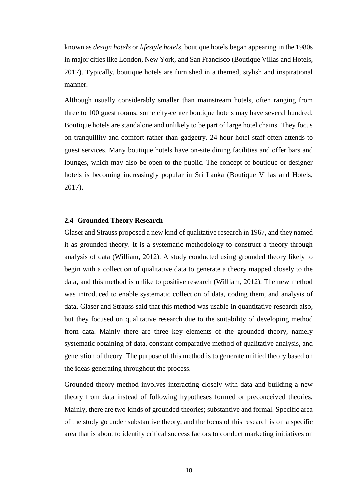known as *design hotels* or *lifestyle hotels*, boutique hotels began appearing in the 1980s in major cities like London, New York, and San Francisco (Boutique Villas and Hotels, 2017). Typically, boutique hotels are furnished in a themed, stylish and inspirational manner.

Although usually considerably smaller than mainstream hotels, often ranging from three to 100 guest rooms, some city-center boutique hotels may have several hundred. Boutique hotels are standalone and unlikely to be part of large hotel chains. They focus on tranquillity and comfort rather than gadgetry. 24-hour hotel staff often attends to guest services. Many boutique hotels have on-site dining facilities and offer bars and lounges, which may also be open to the public. The concept of boutique or designer hotels is becoming increasingly popular in Sri Lanka (Boutique Villas and Hotels, 2017).

#### <span id="page-19-0"></span>**2.4 Grounded Theory Research**

Glaser and Strauss proposed a new kind of qualitative research in 1967, and they named it as grounded theory. It is a systematic methodology to construct a theory through analysis of data (William, 2012). A study conducted using grounded theory likely to begin with a collection of qualitative data to generate a theory mapped closely to the data, and this method is unlike to positive research (William, 2012). The new method was introduced to enable systematic collection of data, coding them, and analysis of data. Glaser and Strauss said that this method was usable in quantitative research also, but they focused on qualitative research due to the suitability of developing method from data. Mainly there are three key elements of the grounded theory, namely systematic obtaining of data, constant comparative method of qualitative analysis, and generation of theory. The purpose of this method is to generate unified theory based on the ideas generating throughout the process.

Grounded theory method involves interacting closely with data and building a new theory from data instead of following hypotheses formed or preconceived theories. Mainly, there are two kinds of grounded theories; substantive and formal. Specific area of the study go under substantive theory, and the focus of this research is on a specific area that is about to identify critical success factors to conduct marketing initiatives on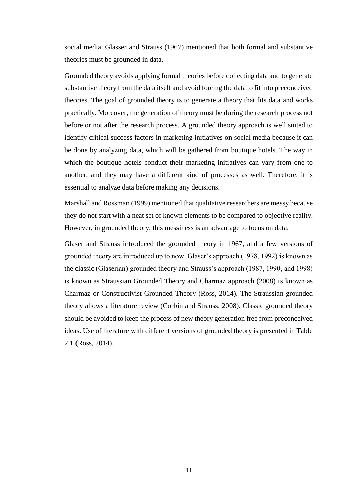social media. Glasser and Strauss (1967) mentioned that both formal and substantive theories must be grounded in data.

Grounded theory avoids applying formal theories before collecting data and to generate substantive theory from the data itself and avoid forcing the data to fit into preconceived theories. The goal of grounded theory is to generate a theory that fits data and works practically. Moreover, the generation of theory must be during the research process not before or not after the research process. A grounded theory approach is well suited to identify critical success factors in marketing initiatives on social media because it can be done by analyzing data, which will be gathered from boutique hotels. The way in which the boutique hotels conduct their marketing initiatives can vary from one to another, and they may have a different kind of processes as well. Therefore, it is essential to analyze data before making any decisions.

Marshall and Rossman (1999) mentioned that qualitative researchers are messy because they do not start with a neat set of known elements to be compared to objective reality. However, in grounded theory, this messiness is an advantage to focus on data.

Glaser and Strauss introduced the grounded theory in 1967, and a few versions of grounded theory are introduced up to now. Glaser's approach (1978, 1992) is known as the classic (Glaserian) grounded theory and Strauss's approach (1987, 1990, and 1998) is known as Straussian Grounded Theory and Charmaz approach (2008) is known as Charmaz or Constructivist Grounded Theory (Ross, 2014). The Straussian-grounded theory allows a literature review (Corbin and Strauss, 2008). Classic grounded theory should be avoided to keep the process of new theory generation free from preconceived ideas. Use of literature with different versions of grounded theory is presented in Table 2.1 (Ross, 2014).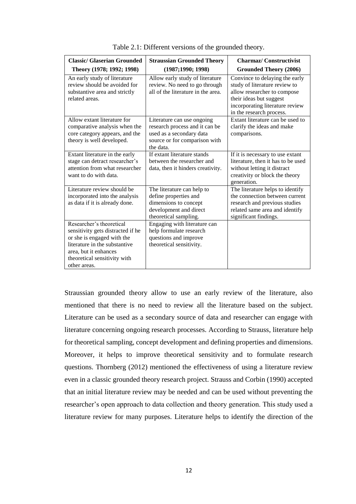| <b>Classic/ Glaserian Grounded</b>                                                                                                                                                                    | <b>Straussian Grounded Theory</b>                                                                                                      | <b>Charmaz/Constructivist</b>                                                                                                                                                            |  |  |
|-------------------------------------------------------------------------------------------------------------------------------------------------------------------------------------------------------|----------------------------------------------------------------------------------------------------------------------------------------|------------------------------------------------------------------------------------------------------------------------------------------------------------------------------------------|--|--|
| Theory (1978; 1992; 1998)                                                                                                                                                                             | (1987;1990;1998)                                                                                                                       | <b>Grounded Theory (2006)</b>                                                                                                                                                            |  |  |
| An early study of literature<br>review should be avoided for<br>substantive area and strictly<br>related areas.                                                                                       | Allow early study of literature<br>review. No need to go through<br>all of the literature in the area.                                 | Convince to delaying the early<br>study of literature review to<br>allow researcher to compose<br>their ideas but suggest<br>incorporating literature review<br>in the research process. |  |  |
| Allow extant literature for<br>comparative analysis when the<br>core category appears, and the<br>theory is well developed.                                                                           | Literature can use ongoing<br>research process and it can be<br>used as a secondary data<br>source or for comparison with<br>the data. | Extant literature can be used to<br>clarify the ideas and make<br>comparisons.                                                                                                           |  |  |
| Extant literature in the early<br>stage can detract researcher's<br>attention from what researcher<br>want to do with data.                                                                           | If extant literature stands<br>between the researcher and<br>data, then it hinders creativity.                                         | If it is necessary to use extant<br>literature, then it has to be used<br>without letting it distract<br>creativity or block the theory<br>generation.                                   |  |  |
| Literature review should be<br>incorporated into the analysis<br>as data if it is already done.                                                                                                       | The literature can help to<br>define properties and<br>dimensions to concept<br>development and direct<br>theoretical sampling.        | The literature helps to identify<br>the connection between current<br>research and previous studies<br>related same area and identify<br>significant findings.                           |  |  |
| Researcher's theoretical<br>sensitivity gets distracted if he<br>or she is engaged with the<br>literature in the substantive<br>area, but it enhances<br>theoretical sensitivity with<br>other areas. | Engaging with literature can<br>help formulate research<br>questions and improve<br>theoretical sensitivity.                           |                                                                                                                                                                                          |  |  |

Table 2.1: Different versions of the grounded theory.

Straussian grounded theory allow to use an early review of the literature, also mentioned that there is no need to review all the literature based on the subject. Literature can be used as a secondary source of data and researcher can engage with literature concerning ongoing research processes. According to Strauss, literature help for theoretical sampling, concept development and defining properties and dimensions. Moreover, it helps to improve theoretical sensitivity and to formulate research questions. Thornberg (2012) mentioned the effectiveness of using a literature review even in a classic grounded theory research project. Strauss and Corbin (1990) accepted that an initial literature review may be needed and can be used without preventing the researcher's open approach to data collection and theory generation. This study used a literature review for many purposes. Literature helps to identify the direction of the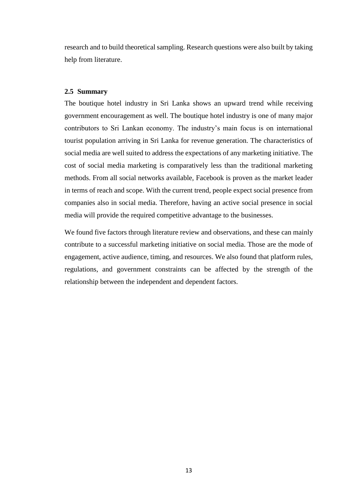research and to build theoretical sampling. Research questions were also built by taking help from literature.

#### <span id="page-22-0"></span>**2.5 Summary**

The boutique hotel industry in Sri Lanka shows an upward trend while receiving government encouragement as well. The boutique hotel industry is one of many major contributors to Sri Lankan economy. The industry's main focus is on international tourist population arriving in Sri Lanka for revenue generation. The characteristics of social media are well suited to address the expectations of any marketing initiative. The cost of social media marketing is comparatively less than the traditional marketing methods. From all social networks available, Facebook is proven as the market leader in terms of reach and scope. With the current trend, people expect social presence from companies also in social media. Therefore, having an active social presence in social media will provide the required competitive advantage to the businesses.

We found five factors through literature review and observations, and these can mainly contribute to a successful marketing initiative on social media. Those are the mode of engagement, active audience, timing, and resources. We also found that platform rules, regulations, and government constraints can be affected by the strength of the relationship between the independent and dependent factors.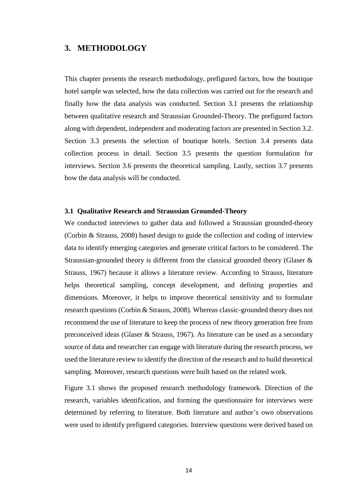#### <span id="page-23-0"></span>**3. METHODOLOGY**

This chapter presents the research methodology, prefigured factors, how the boutique hotel sample was selected, how the data collection was carried out for the research and finally how the data analysis was conducted. Section 3.1 presents the relationship between qualitative research and Straussian Grounded-Theory. The prefigured factors along with dependent, independent and moderating factors are presented in Section 3.2. Section 3.3 presents the selection of boutique hotels. Section 3.4 presents data collection process in detail. Section 3.5 presents the question formulation for interviews. Section 3.6 presents the theoretical sampling. Lastly, section 3.7 presents how the data analysis will be conducted.

#### <span id="page-23-1"></span>**3.1 Qualitative Research and Straussian Grounded-Theory**

We conducted interviews to gather data and followed a Straussian grounded-theory (Corbin & Strauss, 2008) based design to guide the collection and coding of interview data to identify emerging categories and generate critical factors to be considered. The Straussian-grounded theory is different from the classical grounded theory (Glaser & Strauss, 1967) because it allows a literature review. According to Strauss, literature helps theoretical sampling, concept development, and defining properties and dimensions. Moreover, it helps to improve theoretical sensitivity and to formulate research questions (Corbin & Strauss, 2008). Whereas classic-grounded theory does not recommend the use of literature to keep the process of new theory generation free from preconceived ideas (Glaser & Strauss, 1967). As literature can be used as a secondary source of data and researcher can engage with literature during the research process, we used the literature review to identify the direction of the research and to build theoretical sampling. Moreover, research questions were built based on the related work.

Figure 3.1 shows the proposed research methodology framework. Direction of the research, variables identification, and forming the questionnaire for interviews were determined by referring to literature. Both literature and author's own observations were used to identify prefigured categories. Interview questions were derived based on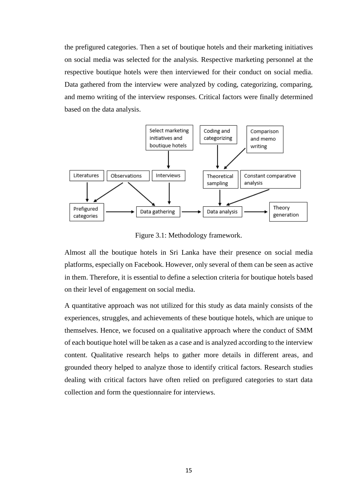the prefigured categories. Then a set of boutique hotels and their marketing initiatives on social media was selected for the analysis. Respective marketing personnel at the respective boutique hotels were then interviewed for their conduct on social media. Data gathered from the interview were analyzed by coding, categorizing, comparing, and memo writing of the interview responses. Critical factors were finally determined based on the data analysis.



Figure 3.1: Methodology framework.

Almost all the boutique hotels in Sri Lanka have their presence on social media platforms, especially on Facebook. However, only several of them can be seen as active in them. Therefore, it is essential to define a selection criteria for boutique hotels based on their level of engagement on social media.

A quantitative approach was not utilized for this study as data mainly consists of the experiences, struggles, and achievements of these boutique hotels, which are unique to themselves. Hence, we focused on a qualitative approach where the conduct of SMM of each boutique hotel will be taken as a case and is analyzed according to the interview content. Qualitative research helps to gather more details in different areas, and grounded theory helped to analyze those to identify critical factors. Research studies dealing with critical factors have often relied on prefigured categories to start data collection and form the questionnaire for interviews.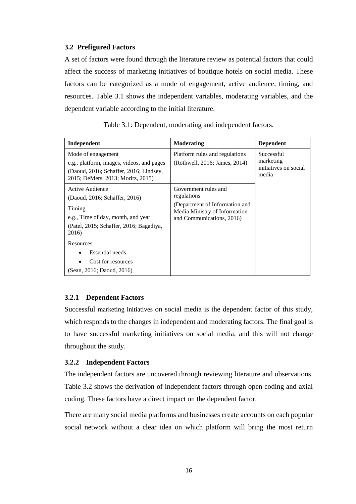#### <span id="page-25-0"></span>**3.2 Prefigured Factors**

A set of factors were found through the literature review as potential factors that could affect the success of marketing initiatives of boutique hotels on social media. These factors can be categorized as a mode of engagement, active audience, timing, and resources. Table 3.1 shows the independent variables, moderating variables, and the dependent variable according to the initial literature.

| Independent                                                                                                                                    | <b>Moderating</b>                                                                            | <b>Dependent</b>                                          |  |
|------------------------------------------------------------------------------------------------------------------------------------------------|----------------------------------------------------------------------------------------------|-----------------------------------------------------------|--|
| Mode of engagement<br>e.g., platform, images, videos, and pages<br>(Daoud, 2016; Schaffer, 2016; Lindsey,<br>2015; DeMers, 2013; Moritz, 2015) | Platform rules and regulations<br>(Rothwell, 2016; James, 2014)                              | Successful<br>marketing<br>initiatives on social<br>media |  |
| Active Audience<br>(Daoud, 2016; Schaffer, 2016)                                                                                               | Government rules and<br>regulations                                                          |                                                           |  |
| Timing<br>e.g., Time of day, month, and year<br>(Patel, 2015; Schaffer, 2016; Bagadiya,<br>2016)                                               | (Department of Information and<br>Media Ministry of Information<br>and Communications, 2016) |                                                           |  |
| Resources<br><b>Essential</b> needs                                                                                                            |                                                                                              |                                                           |  |
| Cost for resources<br>(Sean, 2016; Daoud, 2016)                                                                                                |                                                                                              |                                                           |  |

Table 3.1: Dependent, moderating and independent factors.

#### <span id="page-25-1"></span>**3.2.1 Dependent Factors**

Successful marketing initiatives on social media is the dependent factor of this study, which responds to the changes in independent and moderating factors. The final goal is to have successful marketing initiatives on social media, and this will not change throughout the study.

#### <span id="page-25-2"></span>**3.2.2 Independent Factors**

The independent factors are uncovered through reviewing literature and observations. Table 3.2 shows the derivation of independent factors through open coding and axial coding. These factors have a direct impact on the dependent factor.

There are many social media platforms and businesses create accounts on each popular social network without a clear idea on which platform will bring the most return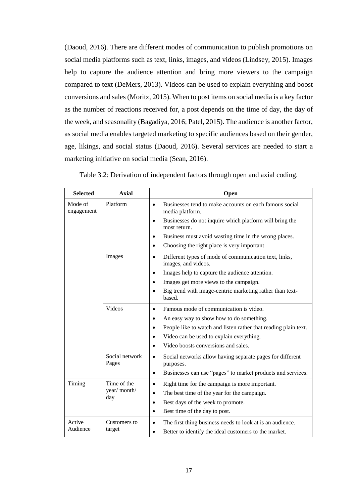(Daoud, 2016). There are different modes of communication to publish promotions on social media platforms such as text, links, images, and videos (Lindsey, 2015). Images help to capture the audience attention and bring more viewers to the campaign compared to text (DeMers, 2013). Videos can be used to explain everything and boost conversions and sales (Moritz, 2015). When to post items on social media is a key factor as the number of reactions received for, a post depends on the time of day, the day of the week, and seasonality (Bagadiya, 2016; Patel, 2015). The audience is another factor, as social media enables targeted marketing to specific audiences based on their gender, age, likings, and social status (Daoud, 2016). Several services are needed to start a marketing initiative on social media (Sean, 2016).

| <b>Selected</b>       | <b>Axial</b>            | Open                                                                                      |  |
|-----------------------|-------------------------|-------------------------------------------------------------------------------------------|--|
| Mode of<br>engagement | Platform                | Businesses tend to make accounts on each famous social<br>$\bullet$<br>media platform.    |  |
|                       |                         | Businesses do not inquire which platform will bring the<br>most return.                   |  |
|                       |                         | Business must avoid wasting time in the wrong places.                                     |  |
|                       |                         | Choosing the right place is very important<br>$\bullet$                                   |  |
|                       | Images                  | Different types of mode of communication text, links,<br>$\bullet$<br>images, and videos. |  |
|                       |                         | Images help to capture the audience attention.                                            |  |
|                       |                         | Images get more views to the campaign.                                                    |  |
|                       |                         | Big trend with image-centric marketing rather than text-<br>based.                        |  |
|                       | Videos                  | Famous mode of communication is video.<br>$\bullet$                                       |  |
|                       |                         | An easy way to show how to do something.<br>$\bullet$                                     |  |
|                       |                         | People like to watch and listen rather that reading plain text.                           |  |
|                       |                         | Video can be used to explain everything.<br>$\bullet$                                     |  |
|                       |                         | Video boosts conversions and sales.<br>$\bullet$                                          |  |
|                       | Social network<br>Pages | Social networks allow having separate pages for different<br>$\bullet$<br>purposes.       |  |
|                       |                         | Businesses can use "pages" to market products and services.<br>$\bullet$                  |  |
| Timing                | Time of the             | Right time for the campaign is more important.                                            |  |
| year/ month/          |                         | The best time of the year for the campaign.<br>$\bullet$                                  |  |
|                       | day                     | Best days of the week to promote.<br>$\bullet$                                            |  |
|                       |                         | Best time of the day to post.<br>$\bullet$                                                |  |
| Active<br>Audience    | Customers to<br>target  | The first thing business needs to look at is an audience.<br>$\bullet$                    |  |
|                       |                         | Better to identify the ideal customers to the market.                                     |  |

Table 3.2: Derivation of independent factors through open and axial coding.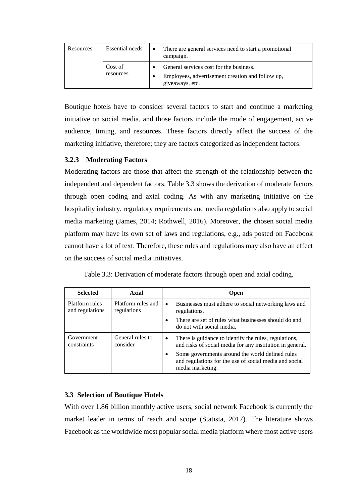| Resources | Essential needs      | There are general services need to start a promotional<br>campaign.                                            |
|-----------|----------------------|----------------------------------------------------------------------------------------------------------------|
|           | Cost of<br>resources | General services cost for the business.<br>Employees, advertisement creation and follow up,<br>giveaways, etc. |

Boutique hotels have to consider several factors to start and continue a marketing initiative on social media, and those factors include the mode of engagement, active audience, timing, and resources. These factors directly affect the success of the marketing initiative, therefore; they are factors categorized as independent factors.

#### <span id="page-27-0"></span>**3.2.3 Moderating Factors**

Moderating factors are those that affect the strength of the relationship between the independent and dependent factors. Table 3.3 shows the derivation of moderate factors through open coding and axial coding. As with any marketing initiative on the hospitality industry, regulatory requirements and media regulations also apply to social media marketing (James, 2014; Rothwell, 2016). Moreover, the chosen social media platform may have its own set of laws and regulations, e.g., ads posted on Facebook cannot have a lot of text. Therefore, these rules and regulations may also have an effect on the success of social media initiatives.

Table 3.3: Derivation of moderate factors through open and axial coding.

| <b>Selected</b>                   | Axial                             | <b>Open</b>                                                                                                             |                                                                                                                               |  |
|-----------------------------------|-----------------------------------|-------------------------------------------------------------------------------------------------------------------------|-------------------------------------------------------------------------------------------------------------------------------|--|
| Platform rules<br>and regulations | Platform rules and<br>regulations |                                                                                                                         | Businesses must adhere to social networking laws and<br>regulations.                                                          |  |
|                                   |                                   |                                                                                                                         | There are set of rules what businesses should do and<br>do not with social media.                                             |  |
| Government<br>constraints         | General rules to<br>consider      | There is guidance to identify the rules, regulations,<br>٠<br>and risks of social media for any institution in general. |                                                                                                                               |  |
|                                   |                                   |                                                                                                                         | Some governments around the world defined rules<br>and regulations for the use of social media and social<br>media marketing. |  |

#### <span id="page-27-1"></span>**3.3 Selection of Boutique Hotels**

With over 1.86 billion monthly active users, social network Facebook is currently the market leader in terms of reach and scope (Statista, 2017). The literature shows Facebook as the worldwide most popular social media platform where most active users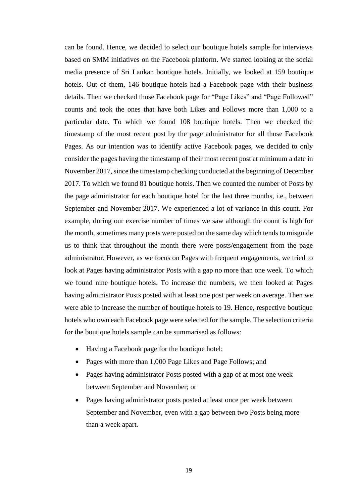can be found. Hence, we decided to select our boutique hotels sample for interviews based on SMM initiatives on the Facebook platform. We started looking at the social media presence of Sri Lankan boutique hotels. Initially, we looked at 159 boutique hotels. Out of them, 146 boutique hotels had a Facebook page with their business details. Then we checked those Facebook page for "Page Likes" and "Page Followed" counts and took the ones that have both Likes and Follows more than 1,000 to a particular date. To which we found 108 boutique hotels. Then we checked the timestamp of the most recent post by the page administrator for all those Facebook Pages. As our intention was to identify active Facebook pages, we decided to only consider the pages having the timestamp of their most recent post at minimum a date in November 2017, since the timestamp checking conducted at the beginning of December 2017. To which we found 81 boutique hotels. Then we counted the number of Posts by the page administrator for each boutique hotel for the last three months, i.e., between September and November 2017. We experienced a lot of variance in this count. For example, during our exercise number of times we saw although the count is high for the month, sometimes many posts were posted on the same day which tends to misguide us to think that throughout the month there were posts/engagement from the page administrator. However, as we focus on Pages with frequent engagements, we tried to look at Pages having administrator Posts with a gap no more than one week. To which we found nine boutique hotels. To increase the numbers, we then looked at Pages having administrator Posts posted with at least one post per week on average. Then we were able to increase the number of boutique hotels to 19. Hence, respective boutique hotels who own each Facebook page were selected for the sample. The selection criteria for the boutique hotels sample can be summarised as follows:

- Having a Facebook page for the boutique hotel;
- Pages with more than 1,000 Page Likes and Page Follows; and
- Pages having administrator Posts posted with a gap of at most one week between September and November; or
- Pages having administrator posts posted at least once per week between September and November, even with a gap between two Posts being more than a week apart.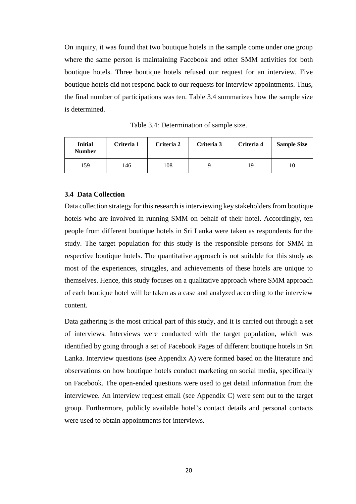On inquiry, it was found that two boutique hotels in the sample come under one group where the same person is maintaining Facebook and other SMM activities for both boutique hotels. Three boutique hotels refused our request for an interview. Five boutique hotels did not respond back to our requests for interview appointments. Thus, the final number of participations was ten. Table 3.4 summarizes how the sample size is determined.

Table 3.4: Determination of sample size.

| <b>Initial</b><br><b>Number</b> | Criteria 1 | Criteria 2 | Criteria 3 | Criteria 4 | <b>Sample Size</b> |  |
|---------------------------------|------------|------------|------------|------------|--------------------|--|
| 159                             | 146        | 108        |            | 19         |                    |  |

#### <span id="page-29-0"></span>**3.4 Data Collection**

Data collection strategy for this research is interviewing key stakeholders from boutique hotels who are involved in running SMM on behalf of their hotel. Accordingly, ten people from different boutique hotels in Sri Lanka were taken as respondents for the study. The target population for this study is the responsible persons for SMM in respective boutique hotels. The quantitative approach is not suitable for this study as most of the experiences, struggles, and achievements of these hotels are unique to themselves. Hence, this study focuses on a qualitative approach where SMM approach of each boutique hotel will be taken as a case and analyzed according to the interview content.

Data gathering is the most critical part of this study, and it is carried out through a set of interviews. Interviews were conducted with the target population, which was identified by going through a set of Facebook Pages of different boutique hotels in Sri Lanka. Interview questions (see Appendix A) were formed based on the literature and observations on how boutique hotels conduct marketing on social media, specifically on Facebook. The open-ended questions were used to get detail information from the interviewee. An interview request email (see Appendix C) were sent out to the target group. Furthermore, publicly available hotel's contact details and personal contacts were used to obtain appointments for interviews.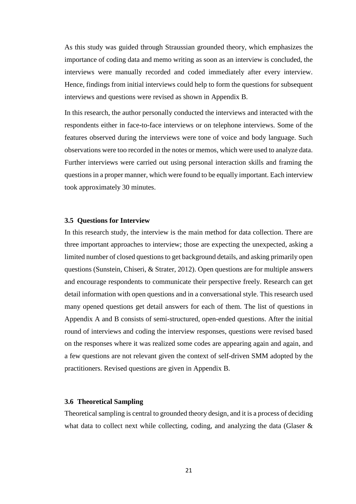As this study was guided through Straussian grounded theory, which emphasizes the importance of coding data and memo writing as soon as an interview is concluded, the interviews were manually recorded and coded immediately after every interview. Hence, findings from initial interviews could help to form the questions for subsequent interviews and questions were revised as shown in Appendix B.

In this research, the author personally conducted the interviews and interacted with the respondents either in face-to-face interviews or on telephone interviews. Some of the features observed during the interviews were tone of voice and body language. Such observations were too recorded in the notes or memos, which were used to analyze data. Further interviews were carried out using personal interaction skills and framing the questions in a proper manner, which were found to be equally important. Each interview took approximately 30 minutes.

#### <span id="page-30-0"></span>**3.5 Questions for Interview**

In this research study, the interview is the main method for data collection. There are three important approaches to interview; those are expecting the unexpected, asking a limited number of closed questions to get background details, and asking primarily open questions (Sunstein, Chiseri, & Strater, 2012). Open questions are for multiple answers and encourage respondents to communicate their perspective freely. Research can get detail information with open questions and in a conversational style. This research used many opened questions get detail answers for each of them. The list of questions in Appendix A and B consists of semi-structured, open-ended questions. After the initial round of interviews and coding the interview responses, questions were revised based on the responses where it was realized some codes are appearing again and again, and a few questions are not relevant given the context of self-driven SMM adopted by the practitioners. Revised questions are given in Appendix B.

#### <span id="page-30-1"></span>**3.6 Theoretical Sampling**

Theoretical sampling is central to grounded theory design, and it is a process of deciding what data to collect next while collecting, coding, and analyzing the data (Glaser  $\&$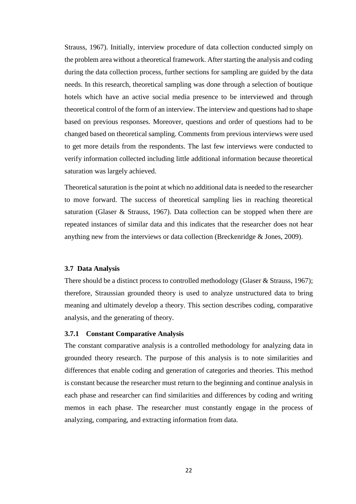Strauss, 1967). Initially, interview procedure of data collection conducted simply on the problem area without a theoretical framework. After starting the analysis and coding during the data collection process, further sections for sampling are guided by the data needs. In this research, theoretical sampling was done through a selection of boutique hotels which have an active social media presence to be interviewed and through theoretical control of the form of an interview. The interview and questions had to shape based on previous responses. Moreover, questions and order of questions had to be changed based on theoretical sampling. Comments from previous interviews were used to get more details from the respondents. The last few interviews were conducted to verify information collected including little additional information because theoretical saturation was largely achieved.

Theoretical saturation is the point at which no additional data is needed to the researcher to move forward. The success of theoretical sampling lies in reaching theoretical saturation (Glaser & Strauss, 1967). Data collection can be stopped when there are repeated instances of similar data and this indicates that the researcher does not hear anything new from the interviews or data collection (Breckenridge & Jones, 2009).

#### <span id="page-31-0"></span>**3.7 Data Analysis**

There should be a distinct process to controlled methodology (Glaser & Strauss, 1967); therefore, Straussian grounded theory is used to analyze unstructured data to bring meaning and ultimately develop a theory. This section describes coding, comparative analysis, and the generating of theory.

#### <span id="page-31-1"></span>**3.7.1 Constant Comparative Analysis**

The constant comparative analysis is a controlled methodology for analyzing data in grounded theory research. The purpose of this analysis is to note similarities and differences that enable coding and generation of categories and theories. This method is constant because the researcher must return to the beginning and continue analysis in each phase and researcher can find similarities and differences by coding and writing memos in each phase. The researcher must constantly engage in the process of analyzing, comparing, and extracting information from data.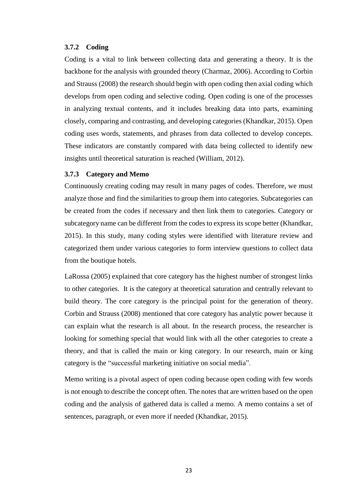#### <span id="page-32-0"></span>**3.7.2 Coding**

Coding is a vital to link between collecting data and generating a theory. It is the backbone for the analysis with grounded theory (Charmaz, 2006). According to Corbin and Strauss (2008) the research should begin with open coding then axial coding which develops from open coding and selective coding. Open coding is one of the processes in analyzing textual contents, and it includes breaking data into parts, examining closely, comparing and contrasting, and developing categories (Khandkar, 2015). Open coding uses words, statements, and phrases from data collected to develop concepts. These indicators are constantly compared with data being collected to identify new insights until theoretical saturation is reached (William, 2012).

#### <span id="page-32-1"></span>**3.7.3 Category and Memo**

Continuously creating coding may result in many pages of codes. Therefore, we must analyze those and find the similarities to group them into categories. Subcategories can be created from the codes if necessary and then link them to categories. Category or subcategory name can be different from the codes to express its scope better (Khandkar, 2015). In this study, many coding styles were identified with literature review and categorized them under various categories to form interview questions to collect data from the boutique hotels.

LaRossa (2005) explained that core category has the highest number of strongest links to other categories. It is the category at theoretical saturation and centrally relevant to build theory. The core category is the principal point for the generation of theory. Corbin and Strauss (2008) mentioned that core category has analytic power because it can explain what the research is all about. In the research process, the researcher is looking for something special that would link with all the other categories to create a theory, and that is called the main or king category. In our research, main or king category is the "successful marketing initiative on social media".

Memo writing is a pivotal aspect of open coding because open coding with few words is not enough to describe the concept often. The notes that are written based on the open coding and the analysis of gathered data is called a memo. A memo contains a set of sentences, paragraph, or even more if needed (Khandkar, 2015).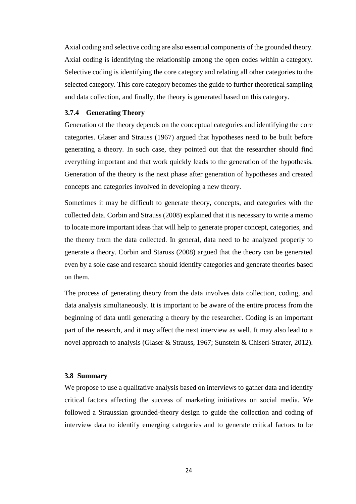Axial coding and selective coding are also essential components of the grounded theory. Axial coding is identifying the relationship among the open codes within a category. Selective coding is identifying the core category and relating all other categories to the selected category. This core category becomes the guide to further theoretical sampling and data collection, and finally, the theory is generated based on this category.

#### <span id="page-33-0"></span>**3.7.4 Generating Theory**

Generation of the theory depends on the conceptual categories and identifying the core categories. Glaser and Strauss (1967) argued that hypotheses need to be built before generating a theory. In such case, they pointed out that the researcher should find everything important and that work quickly leads to the generation of the hypothesis. Generation of the theory is the next phase after generation of hypotheses and created concepts and categories involved in developing a new theory.

Sometimes it may be difficult to generate theory, concepts, and categories with the collected data. Corbin and Strauss (2008) explained that it is necessary to write a memo to locate more important ideas that will help to generate proper concept, categories, and the theory from the data collected. In general, data need to be analyzed properly to generate a theory. Corbin and Staruss (2008) argued that the theory can be generated even by a sole case and research should identify categories and generate theories based on them.

The process of generating theory from the data involves data collection, coding, and data analysis simultaneously. It is important to be aware of the entire process from the beginning of data until generating a theory by the researcher. Coding is an important part of the research, and it may affect the next interview as well. It may also lead to a novel approach to analysis (Glaser & Strauss, 1967; Sunstein & Chiseri-Strater, 2012).

#### <span id="page-33-1"></span>**3.8 Summary**

We propose to use a qualitative analysis based on interviews to gather data and identify critical factors affecting the success of marketing initiatives on social media. We followed a Straussian grounded-theory design to guide the collection and coding of interview data to identify emerging categories and to generate critical factors to be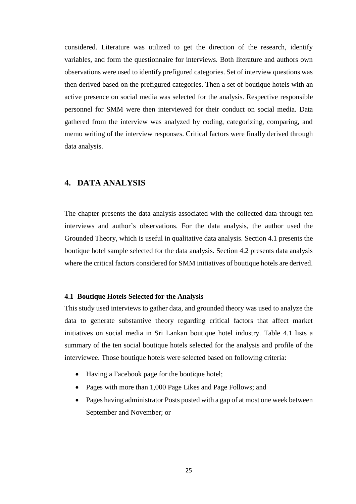considered. Literature was utilized to get the direction of the research, identify variables, and form the questionnaire for interviews. Both literature and authors own observations were used to identify prefigured categories. Set of interview questions was then derived based on the prefigured categories. Then a set of boutique hotels with an active presence on social media was selected for the analysis. Respective responsible personnel for SMM were then interviewed for their conduct on social media. Data gathered from the interview was analyzed by coding, categorizing, comparing, and memo writing of the interview responses. Critical factors were finally derived through data analysis.

## <span id="page-34-0"></span>**4. DATA ANALYSIS**

The chapter presents the data analysis associated with the collected data through ten interviews and author's observations. For the data analysis, the author used the Grounded Theory, which is useful in qualitative data analysis. Section 4.1 presents the boutique hotel sample selected for the data analysis. Section 4.2 presents data analysis where the critical factors considered for SMM initiatives of boutique hotels are derived.

#### <span id="page-34-1"></span>**4.1 Boutique Hotels Selected for the Analysis**

This study used interviews to gather data, and grounded theory was used to analyze the data to generate substantive theory regarding critical factors that affect market initiatives on social media in Sri Lankan boutique hotel industry. Table 4.1 lists a summary of the ten social boutique hotels selected for the analysis and profile of the interviewee. Those boutique hotels were selected based on following criteria:

- Having a Facebook page for the boutique hotel;
- Pages with more than 1,000 Page Likes and Page Follows; and
- Pages having administrator Posts posted with a gap of at most one week between September and November; or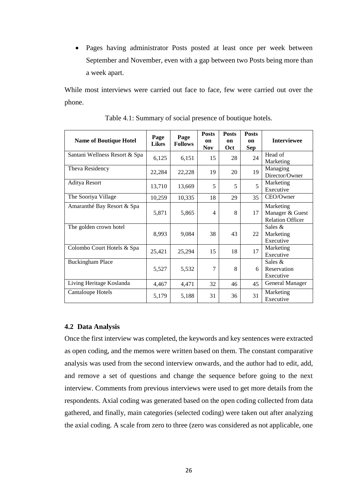Pages having administrator Posts posted at least once per week between September and November, even with a gap between two Posts being more than a week apart.

While most interviews were carried out face to face, few were carried out over the phone.

| <b>Name of Boutique Hotel</b> | Page<br><b>Likes</b> | Page<br><b>Follows</b> | <b>Posts</b><br>on<br><b>Nov</b> | <b>Posts</b><br><sub>on</sub><br>Oct | <b>Posts</b><br><b>on</b><br>Sep | <b>Interviewee</b>                                      |
|-------------------------------|----------------------|------------------------|----------------------------------|--------------------------------------|----------------------------------|---------------------------------------------------------|
| Santani Wellness Resort & Spa | 6,125                | 6,151                  | 15                               | 28                                   | 24                               | Head of<br>Marketing                                    |
| Theva Residency               | 22,284               | 22,228                 | 19                               | 20                                   | 19                               | Managing<br>Director/Owner                              |
| Aditya Resort                 | 13,710               | 13,669                 | 5                                | 5                                    | 5                                | Marketing<br>Executive                                  |
| The Sooriya Village           | 10,259               | 10,335                 | 18                               | 29                                   | 35                               | CEO/Owner                                               |
| Amaranthé Bay Resort & Spa    | 5,871                | 5,865                  | 4                                | 8                                    | 17                               | Marketing<br>Manager & Guest<br><b>Relation Officer</b> |
| The golden crown hotel        | 8,993                | 9,084                  | 38                               | 43                                   | 22                               | Sales $&$<br>Marketing<br>Executive                     |
| Colombo Court Hotels & Spa    | 25,421               | 25,294                 | 15                               | 18                                   | 17                               | Marketing<br>Executive                                  |
| <b>Buckingham Place</b>       | 5,527                | 5,532                  | 7                                | 8                                    | 6                                | Sales $&$<br>Reservation<br>Executive                   |
| Living Heritage Koslanda      | 4,467                | 4,471                  | 32                               | 46                                   | 45                               | General Manager                                         |
| Cantaloupe Hotels             | 5,179                | 5,188                  | 31                               | 36                                   | 31                               | Marketing<br>Executive                                  |

Table 4.1: Summary of social presence of boutique hotels.

#### <span id="page-35-0"></span>**4.2 Data Analysis**

Once the first interview was completed, the keywords and key sentences were extracted as open coding, and the memos were written based on them. The constant comparative analysis was used from the second interview onwards, and the author had to edit, add, and remove a set of questions and change the sequence before going to the next interview. Comments from previous interviews were used to get more details from the respondents. Axial coding was generated based on the open coding collected from data gathered, and finally, main categories (selected coding) were taken out after analyzing the axial coding. A scale from zero to three (zero was considered as not applicable, one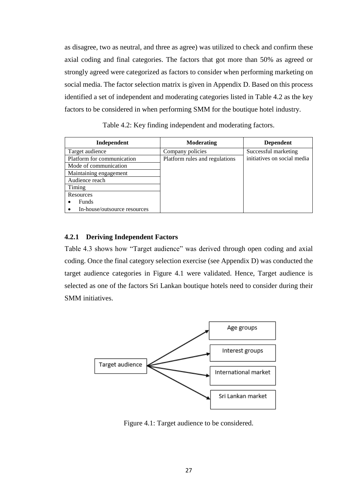as disagree, two as neutral, and three as agree) was utilized to check and confirm these axial coding and final categories. The factors that got more than 50% as agreed or strongly agreed were categorized as factors to consider when performing marketing on social media. The factor selection matrix is given in Appendix D. Based on this process identified a set of independent and moderating categories listed in Table 4.2 as the key factors to be considered in when performing SMM for the boutique hotel industry.

Table 4.2: Key finding independent and moderating factors.

| Independent                  | <b>Moderating</b>              | <b>Dependent</b>            |
|------------------------------|--------------------------------|-----------------------------|
| Target audience              | Company policies               | Successful marketing        |
| Platform for communication   | Platform rules and regulations | initiatives on social media |
| Mode of communication        |                                |                             |
| Maintaining engagement       |                                |                             |
| Audience reach               |                                |                             |
| Timing                       |                                |                             |
| Resources                    |                                |                             |
| <b>Funds</b><br>$\bullet$    |                                |                             |
| In-house/outsource resources |                                |                             |

#### <span id="page-36-0"></span>**4.2.1 Deriving Independent Factors**

Table 4.3 shows how "Target audience" was derived through open coding and axial coding. Once the final category selection exercise (see Appendix D) was conducted the target audience categories in Figure 4.1 were validated. Hence, Target audience is selected as one of the factors Sri Lankan boutique hotels need to consider during their SMM initiatives.



Figure 4.1: Target audience to be considered.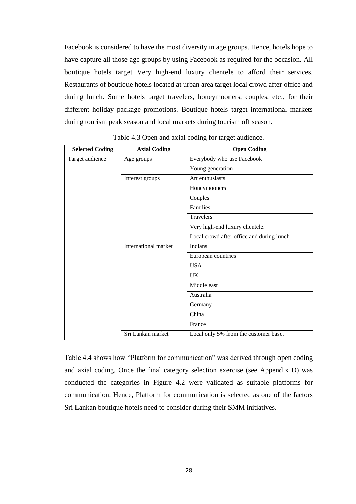Facebook is considered to have the most diversity in age groups. Hence, hotels hope to have capture all those age groups by using Facebook as required for the occasion. All boutique hotels target Very high-end luxury clientele to afford their services. Restaurants of boutique hotels located at urban area target local crowd after office and during lunch. Some hotels target travelers, honeymooners, couples, etc., for their different holiday package promotions. Boutique hotels target international markets during tourism peak season and local markets during tourism off season.

| <b>Selected Coding</b> | <b>Axial Coding</b>  | <b>Open Coding</b>                        |
|------------------------|----------------------|-------------------------------------------|
| Target audience        | Age groups           | Everybody who use Facebook                |
|                        |                      | Young generation                          |
|                        | Interest groups      | Art enthusiasts                           |
|                        |                      | Honeymooners                              |
|                        |                      | Couples                                   |
|                        |                      | Families                                  |
|                        |                      | <b>Travelers</b>                          |
|                        |                      | Very high-end luxury clientele.           |
|                        |                      | Local crowd after office and during lunch |
|                        | International market | Indians                                   |
|                        |                      | European countries                        |
|                        |                      | <b>USA</b>                                |
|                        |                      | <b>UK</b>                                 |
|                        |                      | Middle east                               |
|                        |                      | Australia                                 |
|                        |                      | Germany                                   |
|                        |                      | China                                     |
|                        |                      | France                                    |
|                        | Sri Lankan market    | Local only 5% from the customer base.     |

Table 4.3 Open and axial coding for target audience.

Table 4.4 shows how "Platform for communication" was derived through open coding and axial coding. Once the final category selection exercise (see Appendix D) was conducted the categories in Figure 4.2 were validated as suitable platforms for communication. Hence, Platform for communication is selected as one of the factors Sri Lankan boutique hotels need to consider during their SMM initiatives.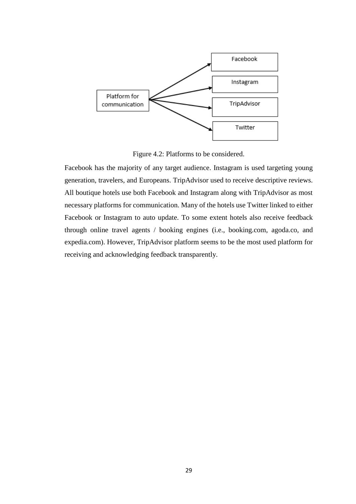

Figure 4.2: Platforms to be considered.

Facebook has the majority of any target audience. Instagram is used targeting young generation, travelers, and Europeans. TripAdvisor used to receive descriptive reviews. All boutique hotels use both Facebook and Instagram along with TripAdvisor as most necessary platforms for communication. Many of the hotels use Twitter linked to either Facebook or Instagram to auto update. To some extent hotels also receive feedback through online travel agents / booking engines (i.e., booking.com, agoda.co, and expedia.com). However, TripAdvisor platform seems to be the most used platform for receiving and acknowledging feedback transparently.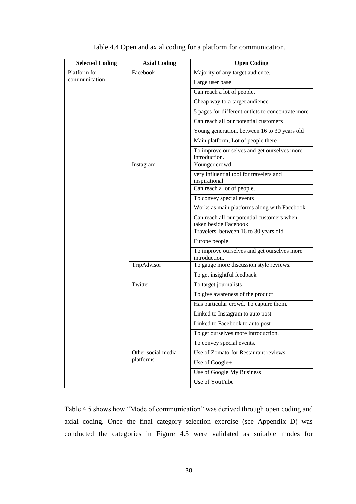| <b>Selected Coding</b> | <b>Axial Coding</b> | <b>Open Coding</b>                                                  |
|------------------------|---------------------|---------------------------------------------------------------------|
| Platform for           | Facebook            | Majority of any target audience.                                    |
| communication          |                     | Large user base.                                                    |
|                        |                     | Can reach a lot of people.                                          |
|                        |                     | Cheap way to a target audience                                      |
|                        |                     | $\overline{5}$ pages for different outlets to concentrate more      |
|                        |                     | Can reach all our potential customers                               |
|                        |                     | Young generation. between 16 to 30 years old                        |
|                        |                     | Main platform, Lot of people there                                  |
|                        |                     | To improve ourselves and get ourselves more<br>introduction.        |
|                        | Instagram           | Younger crowd                                                       |
|                        |                     | very influential tool for travelers and<br>inspirational            |
|                        |                     | Can reach a lot of people.                                          |
|                        |                     | To convey special events                                            |
|                        |                     | Works as main platforms along with Facebook                         |
|                        |                     | Can reach all our potential customers when<br>taken beside Facebook |
|                        |                     | Travelers. between 16 to 30 years old                               |
|                        |                     | Europe people                                                       |
|                        |                     | To improve ourselves and get ourselves more<br>introduction.        |
|                        | TripAdvisor         | To gauge more discussion style reviews.                             |
|                        |                     | To get insightful feedback                                          |
|                        | Twitter             | To target journalists                                               |
|                        |                     | To give awareness of the product                                    |
|                        |                     | Has particular crowd. To capture them.                              |
|                        |                     | Linked to Instagram to auto post                                    |
|                        |                     | Linked to Facebook to auto post                                     |
|                        |                     | To get ourselves more introduction.                                 |
|                        |                     | To convey special events.                                           |
|                        | Other social media  | Use of Zomato for Restaurant reviews                                |
|                        | platforms           | Use of Google+                                                      |
|                        |                     | Use of Google My Business                                           |
|                        |                     | Use of YouTube                                                      |

Table 4.4 Open and axial coding for a platform for communication.

Table 4.5 shows how "Mode of communication" was derived through open coding and axial coding. Once the final category selection exercise (see Appendix D) was conducted the categories in Figure 4.3 were validated as suitable modes for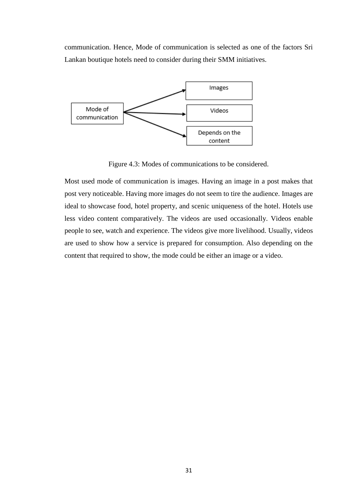communication. Hence, Mode of communication is selected as one of the factors Sri Lankan boutique hotels need to consider during their SMM initiatives.



Figure 4.3: Modes of communications to be considered.

Most used mode of communication is images. Having an image in a post makes that post very noticeable. Having more images do not seem to tire the audience. Images are ideal to showcase food, hotel property, and scenic uniqueness of the hotel. Hotels use less video content comparatively. The videos are used occasionally. Videos enable people to see, watch and experience. The videos give more livelihood. Usually, videos are used to show how a service is prepared for consumption. Also depending on the content that required to show, the mode could be either an image or a video.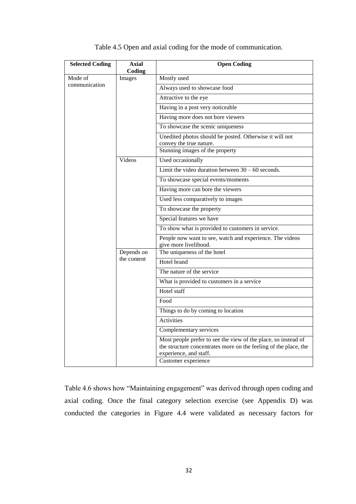| <b>Selected Coding</b> | <b>Axial</b><br>Coding | <b>Open Coding</b>                                                                                                                                                                  |
|------------------------|------------------------|-------------------------------------------------------------------------------------------------------------------------------------------------------------------------------------|
| Mode of                | Images                 | Mostly used                                                                                                                                                                         |
| communication          |                        | Always used to showcase food                                                                                                                                                        |
|                        |                        | Attractive to the eye                                                                                                                                                               |
|                        |                        | Having in a post very noticeable                                                                                                                                                    |
|                        |                        | Having more does not bore viewers                                                                                                                                                   |
|                        |                        | To showcase the scenic uniqueness                                                                                                                                                   |
|                        |                        | Unedited photos should be posted. Otherwise it will not<br>convey the true nature.                                                                                                  |
|                        |                        | Stunning images of the property                                                                                                                                                     |
|                        | Videos                 | Used occasionally                                                                                                                                                                   |
|                        |                        | Limit the video duration between $30 - 60$ seconds.                                                                                                                                 |
|                        |                        | To showcase special events/moments                                                                                                                                                  |
|                        |                        | Having more can bore the viewers                                                                                                                                                    |
|                        |                        | Used less comparatively to images                                                                                                                                                   |
|                        |                        | To showcase the property                                                                                                                                                            |
|                        |                        | Special features we have                                                                                                                                                            |
|                        |                        | To show what is provided to customers in service.                                                                                                                                   |
|                        |                        | People now want to see, watch and experience. The videos<br>give more livelihood.                                                                                                   |
|                        | Depends on             | The uniqueness of the hotel                                                                                                                                                         |
|                        | the content            | Hotel brand                                                                                                                                                                         |
|                        |                        | The nature of the service                                                                                                                                                           |
|                        |                        | What is provided to customers in a service                                                                                                                                          |
|                        |                        | Hotel staff                                                                                                                                                                         |
|                        |                        | Food                                                                                                                                                                                |
|                        |                        | Things to do by coming to location                                                                                                                                                  |
|                        |                        | Activities                                                                                                                                                                          |
|                        |                        | Complementary services                                                                                                                                                              |
|                        |                        | Most people prefer to see the view of the place, so instead of<br>the structure concentrates more on the feeling of the place, the<br>experience, and staff.<br>Customer experience |
|                        |                        |                                                                                                                                                                                     |

| Table 4.5 Open and axial coding for the mode of communication. |  |  |  |  |  |  |  |  |  |  |
|----------------------------------------------------------------|--|--|--|--|--|--|--|--|--|--|
|----------------------------------------------------------------|--|--|--|--|--|--|--|--|--|--|

Table 4.6 shows how "Maintaining engagement" was derived through open coding and axial coding. Once the final category selection exercise (see Appendix D) was conducted the categories in Figure 4.4 were validated as necessary factors for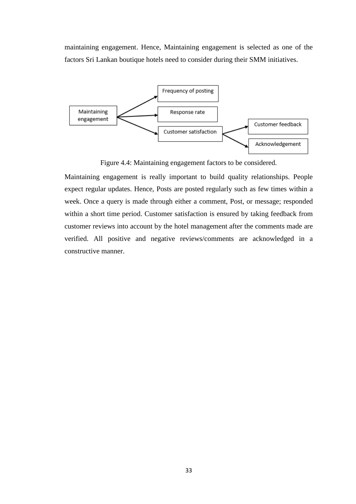maintaining engagement. Hence, Maintaining engagement is selected as one of the factors Sri Lankan boutique hotels need to consider during their SMM initiatives.



Figure 4.4: Maintaining engagement factors to be considered.

Maintaining engagement is really important to build quality relationships. People expect regular updates. Hence, Posts are posted regularly such as few times within a week. Once a query is made through either a comment, Post, or message; responded within a short time period. Customer satisfaction is ensured by taking feedback from customer reviews into account by the hotel management after the comments made are verified. All positive and negative reviews/comments are acknowledged in a constructive manner.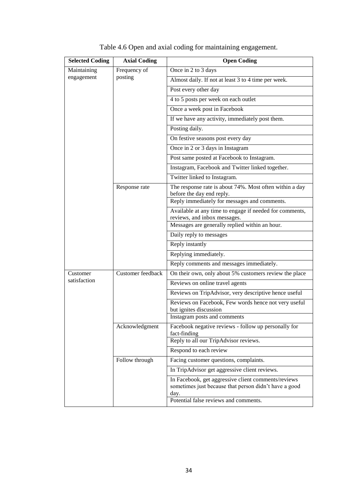| <b>Selected Coding</b> | <b>Axial Coding</b> | <b>Open Coding</b>                                                                                                   |
|------------------------|---------------------|----------------------------------------------------------------------------------------------------------------------|
| Maintaining            | Frequency of        | Once in 2 to 3 days                                                                                                  |
| engagement             | posting             | Almost daily. If not at least 3 to 4 time per week.                                                                  |
|                        |                     | Post every other day                                                                                                 |
|                        |                     | 4 to 5 posts per week on each outlet                                                                                 |
|                        |                     | Once a week post in Facebook                                                                                         |
|                        |                     | If we have any activity, immediately post them.                                                                      |
|                        |                     | Posting daily.                                                                                                       |
|                        |                     | On festive seasons post every day                                                                                    |
|                        |                     | Once in 2 or 3 days in Instagram                                                                                     |
|                        |                     | Post same posted at Facebook to Instagram.                                                                           |
|                        |                     | Instagram, Facebook and Twitter linked together.                                                                     |
|                        |                     | Twitter linked to Instagram.                                                                                         |
|                        | Response rate       | The response rate is about 74%. Most often within a day<br>before the day end reply.                                 |
|                        |                     | Reply immediately for messages and comments.                                                                         |
|                        |                     | Available at any time to engage if needed for comments,<br>reviews, and inbox messages.                              |
|                        |                     | Messages are generally replied within an hour.                                                                       |
|                        |                     | Daily reply to messages                                                                                              |
|                        |                     | Reply instantly                                                                                                      |
|                        |                     | Replying immediately.                                                                                                |
|                        |                     | Reply comments and messages immediately.                                                                             |
| Customer               | Customer feedback   | On their own, only about 5% customers review the place                                                               |
| satisfaction           |                     | Reviews on online travel agents                                                                                      |
|                        |                     | Reviews on TripAdvisor, very descriptive hence useful                                                                |
|                        |                     | Reviews on Facebook, Few words hence not very useful<br>but ignites discussion                                       |
|                        |                     | Instagram posts and comments                                                                                         |
|                        | Acknowledgment      | Facebook negative reviews - follow up personally for<br>fact-finding                                                 |
|                        |                     | Reply to all our TripAdvisor reviews.                                                                                |
|                        |                     | Respond to each review                                                                                               |
|                        | Follow through      | Facing customer questions, complaints.                                                                               |
|                        |                     | In TripAdvisor get aggressive client reviews.                                                                        |
|                        |                     | In Facebook, get aggressive client comments/reviews<br>sometimes just because that person didn't have a good<br>day. |
|                        |                     | Potential false reviews and comments.                                                                                |

| Table 4.6 Open and axial coding for maintaining engagement. |  |  |
|-------------------------------------------------------------|--|--|
|                                                             |  |  |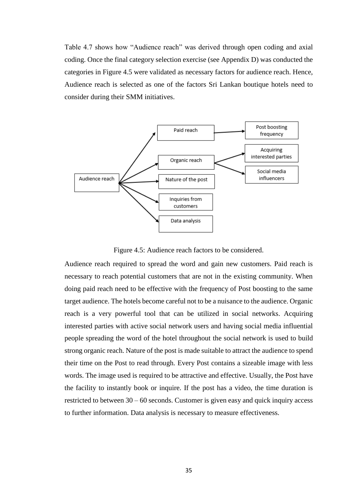Table 4.7 shows how "Audience reach" was derived through open coding and axial coding. Once the final category selection exercise (see Appendix D) was conducted the categories in Figure 4.5 were validated as necessary factors for audience reach. Hence, Audience reach is selected as one of the factors Sri Lankan boutique hotels need to consider during their SMM initiatives.



Figure 4.5: Audience reach factors to be considered.

Audience reach required to spread the word and gain new customers. Paid reach is necessary to reach potential customers that are not in the existing community. When doing paid reach need to be effective with the frequency of Post boosting to the same target audience. The hotels become careful not to be a nuisance to the audience. Organic reach is a very powerful tool that can be utilized in social networks. Acquiring interested parties with active social network users and having social media influential people spreading the word of the hotel throughout the social network is used to build strong organic reach. Nature of the post is made suitable to attract the audience to spend their time on the Post to read through. Every Post contains a sizeable image with less words. The image used is required to be attractive and effective. Usually, the Post have the facility to instantly book or inquire. If the post has a video, the time duration is restricted to between  $30 - 60$  seconds. Customer is given easy and quick inquiry access to further information. Data analysis is necessary to measure effectiveness.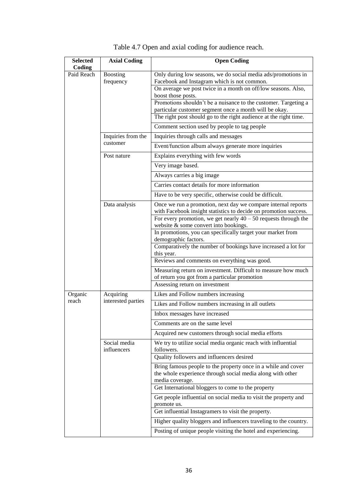| <b>Selected</b><br>Coding | <b>Axial Coding</b>             | <b>Open Coding</b>                                                                                                                             |
|---------------------------|---------------------------------|------------------------------------------------------------------------------------------------------------------------------------------------|
| Paid Reach                | <b>Boosting</b><br>frequency    | Only during low seasons, we do social media ads/promotions in<br>Facebook and Instagram which is not common.                                   |
|                           |                                 | On average we post twice in a month on off/low seasons. Also,<br>boost those posts.                                                            |
|                           |                                 | Promotions shouldn't be a nuisance to the customer. Targeting a<br>particular customer segment once a month will be okay.                      |
|                           |                                 | The right post should go to the right audience at the right time.                                                                              |
|                           |                                 | Comment section used by people to tag people                                                                                                   |
|                           | Inquiries from the              | Inquiries through calls and messages                                                                                                           |
|                           | customer                        | Event/function album always generate more inquiries                                                                                            |
|                           | Post nature                     | Explains everything with few words                                                                                                             |
|                           |                                 | Very image based.                                                                                                                              |
|                           |                                 | Always carries a big image                                                                                                                     |
|                           |                                 | Carries contact details for more information                                                                                                   |
|                           |                                 | Have to be very specific, otherwise could be difficult.                                                                                        |
|                           | Data analysis                   | Once we run a promotion, next day we compare internal reports<br>with Facebook insight statistics to decide on promotion success.              |
|                           |                                 | For every promotion, we get nearly $40 - 50$ requests through the<br>website & some convert into bookings.                                     |
|                           |                                 | In promotions, you can specifically target your market from<br>demographic factors.                                                            |
|                           |                                 | Comparatively the number of bookings have increased a lot for<br>this year.                                                                    |
|                           |                                 | Reviews and comments on everything was good.                                                                                                   |
|                           |                                 | Measuring return on investment. Difficult to measure how much<br>of return you got from a particular promotion                                 |
|                           |                                 | Assessing return on investment                                                                                                                 |
| Organic<br>reach          | Acquiring<br>interested parties | Likes and Follow numbers increasing                                                                                                            |
|                           |                                 | Likes and Follow numbers increasing in all outlets                                                                                             |
|                           |                                 | Inbox messages have increased                                                                                                                  |
|                           |                                 | Comments are on the same level                                                                                                                 |
|                           |                                 | Acquired new customers through social media efforts                                                                                            |
|                           | Social media<br>influencers     | We try to utilize social media organic reach with influential<br>followers.                                                                    |
|                           |                                 | Quality followers and influencers desired                                                                                                      |
|                           |                                 | Bring famous people to the property once in a while and cover<br>the whole experience through social media along with other<br>media coverage. |
|                           |                                 | Get International bloggers to come to the property                                                                                             |
|                           |                                 | Get people influential on social media to visit the property and<br>promote us.                                                                |
|                           |                                 | Get influential Instagramers to visit the property.                                                                                            |
|                           |                                 | Higher quality bloggers and influencers traveling to the country.                                                                              |
|                           |                                 | Posting of unique people visiting the hotel and experiencing.                                                                                  |

| Table 4.7 Open and axial coding for audience reach. |  |  |  |  |
|-----------------------------------------------------|--|--|--|--|
|-----------------------------------------------------|--|--|--|--|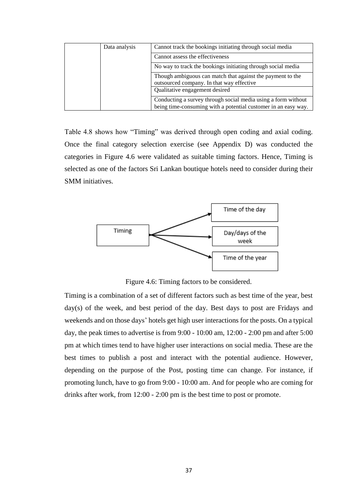| Data analysis | Cannot track the bookings initiating through social media                                                                       |
|---------------|---------------------------------------------------------------------------------------------------------------------------------|
|               | Cannot assess the effectiveness                                                                                                 |
|               | No way to track the bookings initiating through social media                                                                    |
|               | Though ambiguous can match that against the payment to the<br>outsourced company. In that way effective                         |
|               | Qualitative engagement desired                                                                                                  |
|               | Conducting a survey through social media using a form without<br>being time-consuming with a potential customer in an easy way. |

Table 4.8 shows how "Timing" was derived through open coding and axial coding. Once the final category selection exercise (see Appendix D) was conducted the categories in Figure 4.6 were validated as suitable timing factors. Hence, Timing is selected as one of the factors Sri Lankan boutique hotels need to consider during their SMM initiatives.



Figure 4.6: Timing factors to be considered.

Timing is a combination of a set of different factors such as best time of the year, best day(s) of the week, and best period of the day. Best days to post are Fridays and weekends and on those days' hotels get high user interactions for the posts. On a typical day, the peak times to advertise is from 9:00 - 10:00 am, 12:00 - 2:00 pm and after 5:00 pm at which times tend to have higher user interactions on social media. These are the best times to publish a post and interact with the potential audience. However, depending on the purpose of the Post, posting time can change. For instance, if promoting lunch, have to go from 9:00 - 10:00 am. And for people who are coming for drinks after work, from 12:00 - 2:00 pm is the best time to post or promote.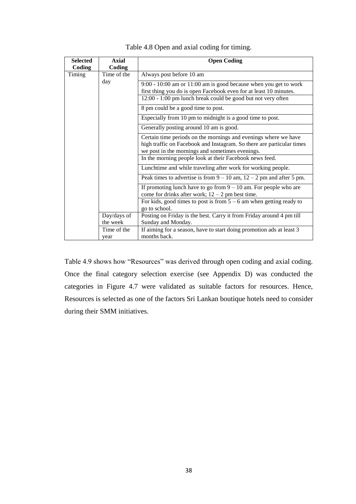| <b>Selected</b> | <b>Axial</b> | <b>Open Coding</b>                                                                                                                                                                          |
|-----------------|--------------|---------------------------------------------------------------------------------------------------------------------------------------------------------------------------------------------|
| Coding          | Coding       |                                                                                                                                                                                             |
| Timing          | Time of the  | Always post before 10 am                                                                                                                                                                    |
|                 | day          | $9:00 - 10:00$ am or 11:00 am is good because when you get to work<br>first thing you do is open Facebook even for at least 10 minutes.                                                     |
|                 |              | 12:00 - 1:00 pm lunch break could be good but not very often                                                                                                                                |
|                 |              | 8 pm could be a good time to post.                                                                                                                                                          |
|                 |              | Especially from 10 pm to midnight is a good time to post.                                                                                                                                   |
|                 |              | Generally posting around 10 am is good.                                                                                                                                                     |
|                 |              | Certain time periods on the mornings and evenings where we have<br>high traffic on Facebook and Instagram. So there are particular times<br>we post in the mornings and sometimes evenings. |
|                 |              | In the morning people look at their Facebook news feed.                                                                                                                                     |
|                 |              | Lunchtime and while traveling after work for working people.                                                                                                                                |
|                 |              | Peak times to advertise is from $9 - 10$ am, $12 - 2$ pm and after 5 pm.                                                                                                                    |
|                 |              | If promoting lunch have to go from $9 - 10$ am. For people who are<br>come for drinks after work; $12 - 2$ pm best time.                                                                    |
|                 |              | For kids, good times to post is from $5 - 6$ am when getting ready to<br>go to school.                                                                                                      |
|                 | Day/days of  | Posting on Friday is the best. Carry it from Friday around 4 pm till                                                                                                                        |
|                 | the week     | Sunday and Monday.                                                                                                                                                                          |
|                 | Time of the  | If aiming for a season, have to start doing promotion ads at least 3                                                                                                                        |
|                 | year         | months back.                                                                                                                                                                                |

Table 4.8 Open and axial coding for timing.

Table 4.9 shows how "Resources" was derived through open coding and axial coding. Once the final category selection exercise (see Appendix D) was conducted the categories in Figure 4.7 were validated as suitable factors for resources. Hence, Resources is selected as one of the factors Sri Lankan boutique hotels need to consider during their SMM initiatives.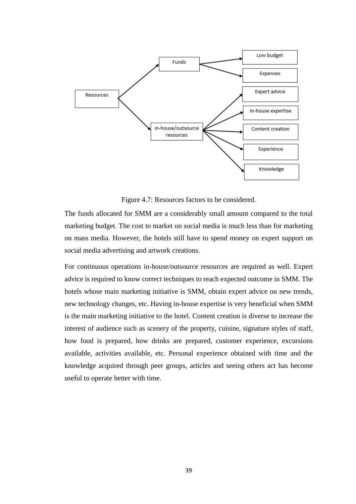

Figure 4.7: Resources factors to be considered.

The funds allocated for SMM are a considerably small amount compared to the total marketing budget. The cost to market on social media is much less than for marketing on mass media. However, the hotels still have to spend money on expert support on social media advertising and artwork creations.

For continuous operations in-house/outsource resources are required as well. Expert advice is required to know correct techniques to reach expected outcome in SMM. The hotels whose main marketing initiative is SMM, obtain expert advice on new trends, new technology changes, etc. Having in-house expertise is very beneficial when SMM is the main marketing initiative to the hotel. Content creation is diverse to increase the interest of audience such as scenery of the property, cuisine, signature styles of staff, how food is prepared, how drinks are prepared, customer experience, excursions available, activities available, etc. Personal experience obtained with time and the knowledge acquired through peer groups, articles and seeing others act has become useful to operate better with time.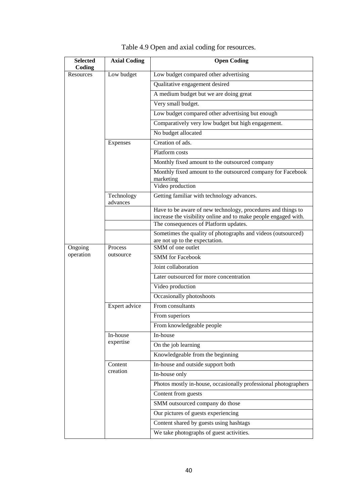| <b>Selected</b><br>Coding                    | <b>Axial Coding</b>    | <b>Open Coding</b>                                                                                       |
|----------------------------------------------|------------------------|----------------------------------------------------------------------------------------------------------|
| Resources                                    | Low budget             | Low budget compared other advertising                                                                    |
|                                              |                        | Qualitative engagement desired                                                                           |
|                                              |                        | A medium budget but we are doing great                                                                   |
|                                              |                        | Very small budget.                                                                                       |
|                                              |                        | Low budget compared other advertising but enough                                                         |
|                                              |                        | Comparatively very low budget but high engagement.                                                       |
|                                              |                        | No budget allocated                                                                                      |
|                                              | Expenses               | Creation of ads.                                                                                         |
|                                              |                        | Platform costs                                                                                           |
|                                              |                        | Monthly fixed amount to the outsourced company                                                           |
|                                              |                        | Monthly fixed amount to the outsourced company for Facebook<br>marketing                                 |
|                                              |                        | Video production                                                                                         |
|                                              | Technology<br>advances | Getting familiar with technology advances.                                                               |
|                                              |                        | Have to be aware of new technology, procedures and things to                                             |
|                                              |                        | increase the visibility online and to make people engaged with.<br>The consequences of Platform updates. |
|                                              |                        | Sometimes the quality of photographs and videos (outsourced)                                             |
|                                              |                        | are not up to the expectation.                                                                           |
| Ongoing<br>Process<br>operation<br>outsource | SMM of one outlet      |                                                                                                          |
|                                              |                        | <b>SMM</b> for Facebook                                                                                  |
|                                              |                        | Joint collaboration                                                                                      |
|                                              |                        | Later outsourced for more concentration                                                                  |
|                                              |                        | Video production                                                                                         |
|                                              |                        | Occasionally photoshoots                                                                                 |
|                                              | Expert advice          | From consultants                                                                                         |
|                                              |                        | From superiors                                                                                           |
|                                              |                        | From knowledgeable people                                                                                |
|                                              | In-house               | In-house                                                                                                 |
|                                              | expertise              | On the job learning                                                                                      |
|                                              |                        | Knowledgeable from the beginning                                                                         |
|                                              | Content                | In-house and outside support both                                                                        |
|                                              | creation               | In-house only                                                                                            |
|                                              |                        | Photos mostly in-house, occasionally professional photographers                                          |
|                                              |                        | Content from guests                                                                                      |
|                                              |                        | SMM outsourced company do those                                                                          |
|                                              |                        | Our pictures of guests experiencing                                                                      |
|                                              |                        | Content shared by guests using hashtags                                                                  |
|                                              |                        | We take photographs of guest activities.                                                                 |

Table 4.9 Open and axial coding for resources.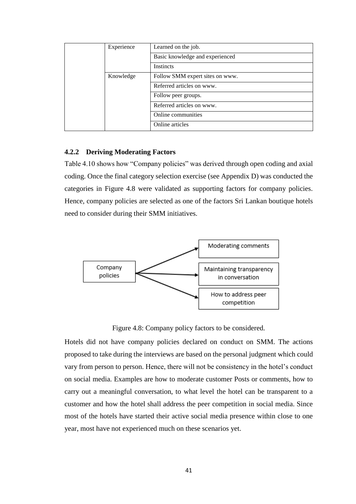| Experience | Learned on the job.             |  |  |  |  |  |  |
|------------|---------------------------------|--|--|--|--|--|--|
|            | Basic knowledge and experienced |  |  |  |  |  |  |
|            | <b>Instincts</b>                |  |  |  |  |  |  |
| Knowledge  | Follow SMM expert sites on www. |  |  |  |  |  |  |
|            | Referred articles on www.       |  |  |  |  |  |  |
|            | Follow peer groups.             |  |  |  |  |  |  |
|            | Referred articles on www.       |  |  |  |  |  |  |
|            | Online communities              |  |  |  |  |  |  |
|            | Online articles                 |  |  |  |  |  |  |

#### <span id="page-50-0"></span>**4.2.2 Deriving Moderating Factors**

Table 4.10 shows how "Company policies" was derived through open coding and axial coding. Once the final category selection exercise (see Appendix D) was conducted the categories in Figure 4.8 were validated as supporting factors for company policies. Hence, company policies are selected as one of the factors Sri Lankan boutique hotels need to consider during their SMM initiatives.



Figure 4.8: Company policy factors to be considered.

Hotels did not have company policies declared on conduct on SMM. The actions proposed to take during the interviews are based on the personal judgment which could vary from person to person. Hence, there will not be consistency in the hotel's conduct on social media. Examples are how to moderate customer Posts or comments, how to carry out a meaningful conversation, to what level the hotel can be transparent to a customer and how the hotel shall address the peer competition in social media. Since most of the hotels have started their active social media presence within close to one year, most have not experienced much on these scenarios yet.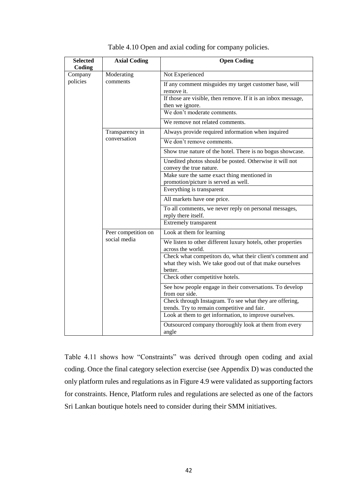| <b>Selected</b><br>Coding | <b>Axial Coding</b> | <b>Open Coding</b>                                                                                                               |  |  |  |  |  |  |  |
|---------------------------|---------------------|----------------------------------------------------------------------------------------------------------------------------------|--|--|--|--|--|--|--|
| Company                   | Moderating          | Not Experienced                                                                                                                  |  |  |  |  |  |  |  |
| policies                  | comments            | If any comment misguides my target customer base, will<br>remove it.                                                             |  |  |  |  |  |  |  |
|                           |                     | If those are visible, then remove. If it is an inbox message,<br>then we ignore.                                                 |  |  |  |  |  |  |  |
|                           |                     | We don't moderate comments.                                                                                                      |  |  |  |  |  |  |  |
|                           |                     | We remove not related comments.                                                                                                  |  |  |  |  |  |  |  |
|                           | Transparency in     | Always provide required information when inquired                                                                                |  |  |  |  |  |  |  |
|                           | conversation        | We don't remove comments.                                                                                                        |  |  |  |  |  |  |  |
|                           |                     | Show true nature of the hotel. There is no bogus showcase.                                                                       |  |  |  |  |  |  |  |
|                           |                     | Unedited photos should be posted. Otherwise it will not<br>convey the true nature.                                               |  |  |  |  |  |  |  |
|                           |                     | Make sure the same exact thing mentioned in                                                                                      |  |  |  |  |  |  |  |
|                           |                     | promotion/picture is served as well.<br>Everything is transparent                                                                |  |  |  |  |  |  |  |
|                           |                     | All markets have one price.                                                                                                      |  |  |  |  |  |  |  |
|                           |                     | To all comments, we never reply on personal messages,<br>reply there itself.                                                     |  |  |  |  |  |  |  |
|                           |                     | Extremely transparent                                                                                                            |  |  |  |  |  |  |  |
|                           | Peer competition on | Look at them for learning                                                                                                        |  |  |  |  |  |  |  |
|                           | social media        | We listen to other different luxury hotels, other properties<br>across the world.                                                |  |  |  |  |  |  |  |
|                           |                     | Check what competitors do, what their client's comment and<br>what they wish. We take good out of that make ourselves<br>better. |  |  |  |  |  |  |  |
|                           |                     | Check other competitive hotels.                                                                                                  |  |  |  |  |  |  |  |
|                           |                     | See how people engage in their conversations. To develop<br>from our side.                                                       |  |  |  |  |  |  |  |
|                           |                     | Check through Instagram. To see what they are offering,<br>trends. Try to remain competitive and fair.                           |  |  |  |  |  |  |  |
|                           |                     | Look at them to get information, to improve ourselves.                                                                           |  |  |  |  |  |  |  |
|                           |                     | Outsourced company thoroughly look at them from every<br>angle                                                                   |  |  |  |  |  |  |  |

Table 4.10 Open and axial coding for company policies.

Table 4.11 shows how "Constraints" was derived through open coding and axial coding. Once the final category selection exercise (see Appendix D) was conducted the only platform rules and regulations as in Figure 4.9 were validated as supporting factors for constraints. Hence, Platform rules and regulations are selected as one of the factors Sri Lankan boutique hotels need to consider during their SMM initiatives.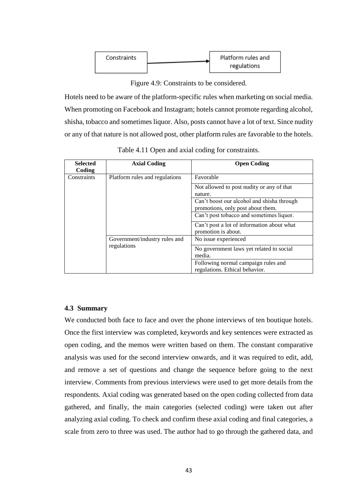

Figure 4.9: Constraints to be considered.

Hotels need to be aware of the platform-specific rules when marketing on social media. When promoting on Facebook and Instagram; hotels cannot promote regarding alcohol, shisha, tobacco and sometimes liquor. Also, posts cannot have a lot of text. Since nudity or any of that nature is not allowed post, other platform rules are favorable to the hotels.

| <b>Selected</b><br>Coding | <b>Axial Coding</b>            | <b>Open Coding</b>                                                              |
|---------------------------|--------------------------------|---------------------------------------------------------------------------------|
| Constraints               | Platform rules and regulations | Favorable                                                                       |
|                           |                                | Not allowed to post nudity or any of that<br>nature.                            |
|                           |                                | Can't boost our alcohol and shisha through<br>promotions, only post about them. |
|                           |                                | Can't post tobacco and sometimes liquor.                                        |
|                           |                                | Can't post a lot of information about what<br>promotion is about.               |
|                           | Government/industry rules and  | No issue experienced                                                            |
|                           | regulations                    | No government laws yet related to social<br>media.                              |
|                           |                                | Following normal campaign rules and<br>regulations. Ethical behavior.           |

Table 4.11 Open and axial coding for constraints.

## <span id="page-52-0"></span>**4.3 Summary**

We conducted both face to face and over the phone interviews of ten boutique hotels. Once the first interview was completed, keywords and key sentences were extracted as open coding, and the memos were written based on them. The constant comparative analysis was used for the second interview onwards, and it was required to edit, add, and remove a set of questions and change the sequence before going to the next interview. Comments from previous interviews were used to get more details from the respondents. Axial coding was generated based on the open coding collected from data gathered, and finally, the main categories (selected coding) were taken out after analyzing axial coding. To check and confirm these axial coding and final categories, a scale from zero to three was used. The author had to go through the gathered data, and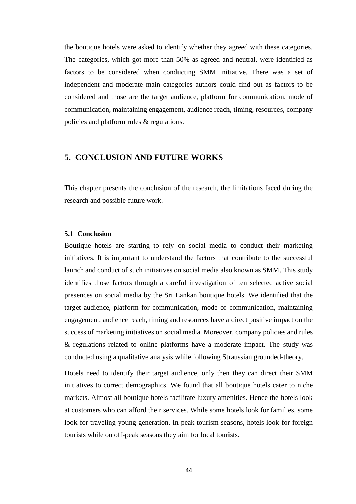the boutique hotels were asked to identify whether they agreed with these categories. The categories, which got more than 50% as agreed and neutral, were identified as factors to be considered when conducting SMM initiative. There was a set of independent and moderate main categories authors could find out as factors to be considered and those are the target audience, platform for communication, mode of communication, maintaining engagement, audience reach, timing, resources, company policies and platform rules & regulations.

## <span id="page-53-0"></span>**5. CONCLUSION AND FUTURE WORKS**

This chapter presents the conclusion of the research, the limitations faced during the research and possible future work.

#### <span id="page-53-1"></span>**5.1 Conclusion**

Boutique hotels are starting to rely on social media to conduct their marketing initiatives. It is important to understand the factors that contribute to the successful launch and conduct of such initiatives on social media also known as SMM. This study identifies those factors through a careful investigation of ten selected active social presences on social media by the Sri Lankan boutique hotels. We identified that the target audience, platform for communication, mode of communication, maintaining engagement, audience reach, timing and resources have a direct positive impact on the success of marketing initiatives on social media. Moreover, company policies and rules & regulations related to online platforms have a moderate impact. The study was conducted using a qualitative analysis while following Straussian grounded-theory.

Hotels need to identify their target audience, only then they can direct their SMM initiatives to correct demographics. We found that all boutique hotels cater to niche markets. Almost all boutique hotels facilitate luxury amenities. Hence the hotels look at customers who can afford their services. While some hotels look for families, some look for traveling young generation. In peak tourism seasons, hotels look for foreign tourists while on off-peak seasons they aim for local tourists.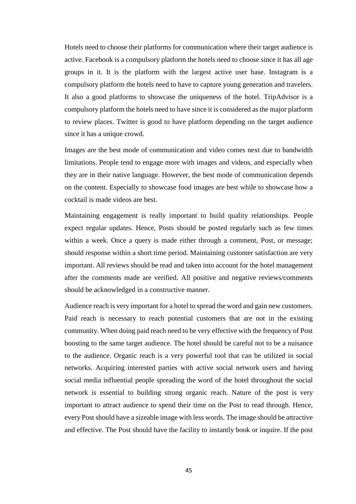Hotels need to choose their platforms for communication where their target audience is active. Facebook is a compulsory platform the hotels need to choose since it has all age groups in it. It is the platform with the largest active user base. Instagram is a compulsory platform the hotels need to have to capture young generation and travelers. It also a good platforms to showcase the uniqueness of the hotel. TripAdvisor is a compulsory platform the hotels need to have since it is considered as the major platform to review places. Twitter is good to have platform depending on the target audience since it has a unique crowd.

Images are the best mode of communication and video comes next due to bandwidth limitations. People tend to engage more with images and videos, and especially when they are in their native language. However, the best mode of communication depends on the content. Especially to showcase food images are best while to showcase how a cocktail is made videos are best.

Maintaining engagement is really important to build quality relationships. People expect regular updates. Hence, Posts should be posted regularly such as few times within a week. Once a query is made either through a comment, Post, or message; should response within a short time period. Maintaining customer satisfaction are very important. All reviews should be read and taken into account for the hotel management after the comments made are verified. All positive and negative reviews/comments should be acknowledged in a constructive manner.

Audience reach is very important for a hotel to spread the word and gain new customers. Paid reach is necessary to reach potential customers that are not in the existing community. When doing paid reach need to be very effective with the frequency of Post boosting to the same target audience. The hotel should be careful not to be a nuisance to the audience. Organic reach is a very powerful tool that can be utilized in social networks. Acquiring interested parties with active social network users and having social media influential people spreading the word of the hotel throughout the social network is essential to building strong organic reach. Nature of the post is very important to attract audience to spend their time on the Post to read through. Hence, every Post should have a sizeable image with less words. The image should be attractive and effective. The Post should have the facility to instantly book or inquire. If the post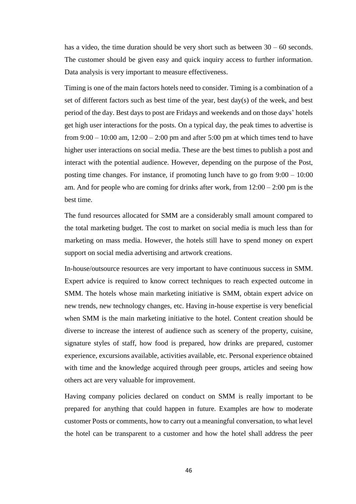has a video, the time duration should be very short such as between 30 – 60 seconds. The customer should be given easy and quick inquiry access to further information. Data analysis is very important to measure effectiveness.

Timing is one of the main factors hotels need to consider. Timing is a combination of a set of different factors such as best time of the year, best day(s) of the week, and best period of the day. Best days to post are Fridays and weekends and on those days' hotels get high user interactions for the posts. On a typical day, the peak times to advertise is from  $9:00 - 10:00$  am,  $12:00 - 2:00$  pm and after  $5:00$  pm at which times tend to have higher user interactions on social media. These are the best times to publish a post and interact with the potential audience. However, depending on the purpose of the Post, posting time changes. For instance, if promoting lunch have to go from  $9:00 - 10:00$ am. And for people who are coming for drinks after work, from  $12:00 - 2:00$  pm is the best time.

The fund resources allocated for SMM are a considerably small amount compared to the total marketing budget. The cost to market on social media is much less than for marketing on mass media. However, the hotels still have to spend money on expert support on social media advertising and artwork creations.

In-house/outsource resources are very important to have continuous success in SMM. Expert advice is required to know correct techniques to reach expected outcome in SMM. The hotels whose main marketing initiative is SMM, obtain expert advice on new trends, new technology changes, etc. Having in-house expertise is very beneficial when SMM is the main marketing initiative to the hotel. Content creation should be diverse to increase the interest of audience such as scenery of the property, cuisine, signature styles of staff, how food is prepared, how drinks are prepared, customer experience, excursions available, activities available, etc. Personal experience obtained with time and the knowledge acquired through peer groups, articles and seeing how others act are very valuable for improvement.

Having company policies declared on conduct on SMM is really important to be prepared for anything that could happen in future. Examples are how to moderate customer Posts or comments, how to carry out a meaningful conversation, to what level the hotel can be transparent to a customer and how the hotel shall address the peer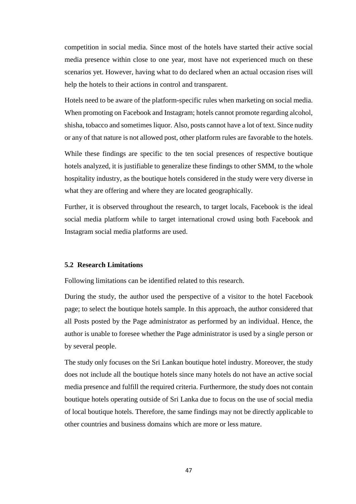competition in social media. Since most of the hotels have started their active social media presence within close to one year, most have not experienced much on these scenarios yet. However, having what to do declared when an actual occasion rises will help the hotels to their actions in control and transparent.

Hotels need to be aware of the platform-specific rules when marketing on social media. When promoting on Facebook and Instagram; hotels cannot promote regarding alcohol, shisha, tobacco and sometimes liquor. Also, posts cannot have a lot of text. Since nudity or any of that nature is not allowed post, other platform rules are favorable to the hotels.

While these findings are specific to the ten social presences of respective boutique hotels analyzed, it is justifiable to generalize these findings to other SMM, to the whole hospitality industry, as the boutique hotels considered in the study were very diverse in what they are offering and where they are located geographically.

Further, it is observed throughout the research, to target locals, Facebook is the ideal social media platform while to target international crowd using both Facebook and Instagram social media platforms are used.

#### <span id="page-56-0"></span>**5.2 Research Limitations**

Following limitations can be identified related to this research.

During the study, the author used the perspective of a visitor to the hotel Facebook page; to select the boutique hotels sample. In this approach, the author considered that all Posts posted by the Page administrator as performed by an individual. Hence, the author is unable to foresee whether the Page administrator is used by a single person or by several people.

The study only focuses on the Sri Lankan boutique hotel industry. Moreover, the study does not include all the boutique hotels since many hotels do not have an active social media presence and fulfill the required criteria. Furthermore, the study does not contain boutique hotels operating outside of Sri Lanka due to focus on the use of social media of local boutique hotels. Therefore, the same findings may not be directly applicable to other countries and business domains which are more or less mature.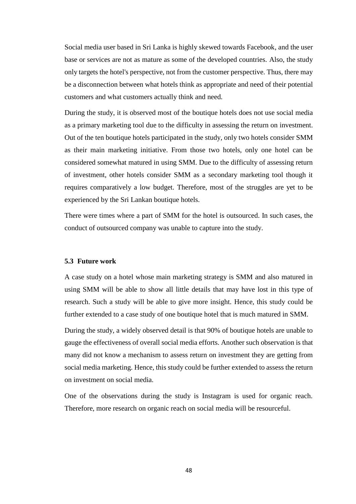Social media user based in Sri Lanka is highly skewed towards Facebook, and the user base or services are not as mature as some of the developed countries. Also, the study only targets the hotel's perspective, not from the customer perspective. Thus, there may be a disconnection between what hotels think as appropriate and need of their potential customers and what customers actually think and need.

During the study, it is observed most of the boutique hotels does not use social media as a primary marketing tool due to the difficulty in assessing the return on investment. Out of the ten boutique hotels participated in the study, only two hotels consider SMM as their main marketing initiative. From those two hotels, only one hotel can be considered somewhat matured in using SMM. Due to the difficulty of assessing return of investment, other hotels consider SMM as a secondary marketing tool though it requires comparatively a low budget. Therefore, most of the struggles are yet to be experienced by the Sri Lankan boutique hotels.

There were times where a part of SMM for the hotel is outsourced. In such cases, the conduct of outsourced company was unable to capture into the study.

#### <span id="page-57-0"></span>**5.3 Future work**

A case study on a hotel whose main marketing strategy is SMM and also matured in using SMM will be able to show all little details that may have lost in this type of research. Such a study will be able to give more insight. Hence, this study could be further extended to a case study of one boutique hotel that is much matured in SMM.

During the study, a widely observed detail is that 90% of boutique hotels are unable to gauge the effectiveness of overall social media efforts. Another such observation is that many did not know a mechanism to assess return on investment they are getting from social media marketing. Hence, this study could be further extended to assess the return on investment on social media.

One of the observations during the study is Instagram is used for organic reach. Therefore, more research on organic reach on social media will be resourceful.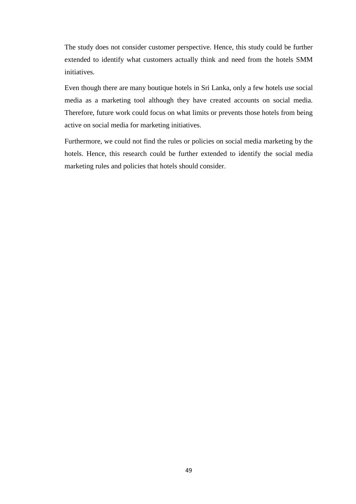The study does not consider customer perspective. Hence, this study could be further extended to identify what customers actually think and need from the hotels SMM initiatives.

Even though there are many boutique hotels in Sri Lanka, only a few hotels use social media as a marketing tool although they have created accounts on social media. Therefore, future work could focus on what limits or prevents those hotels from being active on social media for marketing initiatives.

Furthermore, we could not find the rules or policies on social media marketing by the hotels. Hence, this research could be further extended to identify the social media marketing rules and policies that hotels should consider.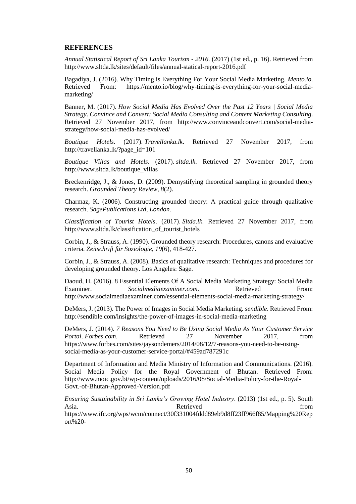#### <span id="page-59-0"></span>**REFERENCES**

*Annual Statistical Report of Sri Lanka Tourism - 2016*. (2017) (1st ed., p. 16). Retrieved from http://www.sltda.lk/sites/default/files/annual-statical-report-2016.pdf

Bagadiya, J. (2016). Why Timing is Everything For Your Social Media Marketing. *Mento.io*. Retrieved From: https://mento.io/blog/why-timing-is-everything-for-your-social-mediamarketing/

Banner, M. (2017). *How Social Media Has Evolved Over the Past 12 Years | Social Media Strategy*. *Convince and Convert: Social Media Consulting and Content Marketing Consulting*. Retrieved 27 November 2017, from http://www.convinceandconvert.com/social-mediastrategy/how-social-media-has-evolved/

*Boutique Hotels*. (2017). *Travellanka.lk*. Retrieved 27 November 2017, from http://travellanka.lk/?page\_id=101

*Boutique Villas and Hotels*. (2017). *sltda.lk*. Retrieved 27 November 2017, from http://www.sltda.lk/boutique\_villas

Breckenridge, J., & Jones, D. (2009). Demystifying theoretical sampling in grounded theory research. *Grounded Theory Review*, *8*(2).

Charmaz, K. (2006). Constructing grounded theory: A practical guide through qualitative research. *SagePublications Ltd, London*.

*Classification of Tourist Hotels*. (2017). *Sltda.lk*. Retrieved 27 November 2017, from http://www.sltda.lk/classification\_of\_tourist\_hotels

Corbin, J., & Strauss, A. (1990). Grounded theory research: Procedures, canons and evaluative criteria. *Zeitschrift für Soziologie*, *19*(6), 418-427.

Corbin, J., & Strauss, A. (2008). Basics of qualitative research: Techniques and procedures for developing grounded theory. Los Angeles: Sage.

Daoud, H. (2016). 8 Essential Elements Of A Social Media Marketing Strategy: Social Media Examiner. *Socialmediaexaminer.com*. Retrieved From: http://www.socialmediaexaminer.com/essential-elements-social-media-marketing-strategy/

DeMers, J. (2013). The Power of Images in Social Media Marketing. *sendible*. Retrieved From: http://sendible.com/insights/the-power-of-images-in-social-media-marketing

DeMers, J. (2014). *7 Reasons You Need to Be Using Social Media As Your Customer Service Portal*. *Forbes.com*. Retrieved 27 November 2017, from https://www.forbes.com/sites/jaysondemers/2014/08/12/7-reasons-you-need-to-be-usingsocial-media-as-your-customer-service-portal/#459ad787291c

Department of Information and Media Ministry of Information and Communications. (2016). Social Media Policy for the Royal Government of Bhutan. Retrieved From: http://www.moic.gov.bt/wp-content/uploads/2016/08/Social-Media-Policy-for-the-Royal-Govt.-of-Bhutan-Approved-Version.pdf

*Ensuring Sustainability in Sri Lanka's Growing Hotel Industry*. (2013) (1st ed., p. 5). South Asia. **Retrieved Example 1 Retrieved has a h from** https://www.ifc.org/wps/wcm/connect/30f331004fddd89eb9d8ff23ff966f85/Mapping%20Rep ort%20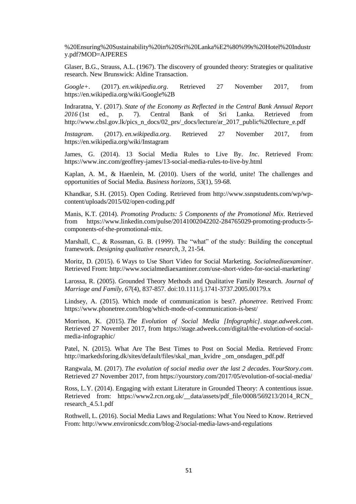%20Ensuring%20Sustainability%20in%20Sri%20Lanka%E2%80%99s%20Hotel%20Industr y.pdf?MOD=AJPERES

Glaser, B.G., Strauss, A.L. (1967). The discovery of grounded theory: Strategies or qualitative research. New Brunswick: Aldine Transaction.

*Google+*. (2017). *en.wikipedia.org*. Retrieved 27 November 2017, from https://en.wikipedia.org/wiki/Google%2B

Indraratna, Y. (2017). *State of the Economy as Reflected in the Central Bank Annual Report 2016* (1st ed., p. 7). Central Bank of Sri Lanka. Retrieved from http://www.cbsl.gov.lk/pics\_n\_docs/02\_prs/\_docs/lecture/ar\_2017\_public%20lecture\_e.pdf

*Instagram*. (2017). *en.wikipedia.org*. Retrieved 27 November 2017, from https://en.wikipedia.org/wiki/Instagram

James, G. (2014). 13 Social Media Rules to Live By. *Inc*. Retrieved From: https://www.inc.com/geoffrey-james/13-social-media-rules-to-live-by.html

Kaplan, A. M., & Haenlein, M. (2010). Users of the world, unite! The challenges and opportunities of Social Media. *Business horizons*, *53*(1), 59-68.

Khandkar, S.H. (2015). Open Coding. Retrieved from http://www.ssnpstudents.com/wp/wpcontent/uploads/2015/02/open-coding.pdf

Manis, K.T. (2014). *Promoting Products: 5 Components of the Promotional Mix*. Retrieved from https://www.linkedin.com/pulse/20141002042202-284765029-promoting-products-5 components-of-the-promotional-mix.

Marshall, C., & Rossman, G. B. (1999). The "what" of the study: Building the conceptual framework. *Designing qualitative research*, *3*, 21-54.

Moritz, D. (2015). 6 Ways to Use Short Video for Social Marketing. *Socialmediaexaminer*. Retrieved From: http://www.socialmediaexaminer.com/use-short-video-for-social-marketing/

Larossa, R. (2005). Grounded Theory Methods and Qualitative Family Research. *Journal of Marriage and Family, 67*(4), 837-857. doi:10.1111/j.1741-3737.2005.00179.x

Lindsey, A. (2015). Which mode of communication is best?. *phonetree*. Retrived From: https://www.phonetree.com/blog/which-mode-of-communication-is-best/

Morrison, K. (2015). *The Evolution of Social Media [Infographic]*. *stage.adweek.com*. Retrieved 27 November 2017, from https://stage.adweek.com/digital/the-evolution-of-socialmedia-infographic/

Patel, N. (2015). What Are The Best Times to Post on Social Media. Retrieved From: http://markedsforing.dk/sites/default/files/skal\_man\_kvidre \_om\_onsdagen\_pdf.pdf

Rangwala, M. (2017). *The evolution of social media over the last 2 decades*. *YourStory.com*. Retrieved 27 November 2017, from https://yourstory.com/2017/05/evolution-of-social-media/

Ross, L.Y. (2014). Engaging with extant Literature in Grounded Theory: A contentious issue. Retrieved from: https://www2.rcn.org.uk/ data/assets/pdf file/0008/569213/2014 RCN research\_4.5.1.pdf

Rothwell, L. (2016). Social Media Laws and Regulations: What You Need to Know. Retrieved From: http://www.environicsdc.com/blog-2/social-media-laws-and-regulations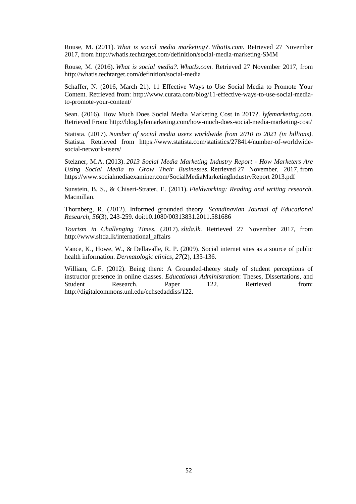Rouse, M. (2011). *What is social media marketing?*. *WhatIs.com*. Retrieved 27 November 2017, from http://whatis.techtarget.com/definition/social-media-marketing-SMM

Rouse, M. (2016). *What is social media?*. *WhatIs.com*. Retrieved 27 November 2017, from http://whatis.techtarget.com/definition/social-media

Schaffer, N. (2016, March 21). 11 Effective Ways to Use Social Media to Promote Your Content. Retrieved from: http://www.curata.com/blog/11-effective-ways-to-use-social-mediato-promote-your-content/

Sean. (2016). How Much Does Social Media Marketing Cost in 2017?. *lyfemarketing.com*. Retrieved From: http://blog.lyfemarketing.com/how-much-does-social-media-marketing-cost/

Statista. (2017). *Number of social media users worldwide from 2010 to 2021 (in billions)*. Statista. Retrieved from https://www.statista.com/statistics/278414/number-of-worldwidesocial-network-users/

Stelzner, M.A. (2013). *2013 Social Media Marketing Industry Report - How Marketers Are Using Social Media to Grow Their Businesses*. Retrieved 27 November, 2017, from https://www.socialmediaexaminer.com/SocialMediaMarketingIndustryReport 2013.pdf

Sunstein, B. S., & Chiseri-Strater, E. (2011). *Fieldworking: Reading and writing research*. Macmillan.

Thornberg, R. (2012). Informed grounded theory. *Scandinavian Journal of Educational Research, 56*(3), 243-259. doi:10.1080/00313831.2011.581686

*Tourism in Challenging Times*. (2017). *sltda.lk*. Retrieved 27 November 2017, from http://www.sltda.lk/international\_affairs

Vance, K., Howe, W., & Dellavalle, R. P. (2009). Social internet sites as a source of public health information. *Dermatologic clinics*, *27*(2), 133-136.

William, G.F. (2012). Being there: A Grounded-theory study of student perceptions of instructor presence in online classes. *Educational Administration*: Theses, Dissertations, and Student Research. Paper 122. Retrieved from: http://digitalcommons.unl.edu/cehsedaddiss/122.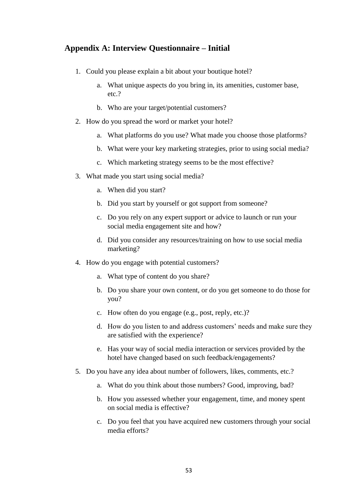# <span id="page-62-0"></span>**Appendix A: Interview Questionnaire – Initial**

- 1. Could you please explain a bit about your boutique hotel?
	- a. What unique aspects do you bring in, its amenities, customer base, etc.?
	- b. Who are your target/potential customers?
- 2. How do you spread the word or market your hotel?
	- a. What platforms do you use? What made you choose those platforms?
	- b. What were your key marketing strategies, prior to using social media?
	- c. Which marketing strategy seems to be the most effective?
- 3. What made you start using social media?
	- a. When did you start?
	- b. Did you start by yourself or got support from someone?
	- c. Do you rely on any expert support or advice to launch or run your social media engagement site and how?
	- d. Did you consider any resources/training on how to use social media marketing?
- 4. How do you engage with potential customers?
	- a. What type of content do you share?
	- b. Do you share your own content, or do you get someone to do those for you?
	- c. How often do you engage (e.g., post, reply, etc.)?
	- d. How do you listen to and address customers' needs and make sure they are satisfied with the experience?
	- e. Has your way of social media interaction or services provided by the hotel have changed based on such feedback/engagements?
- 5. Do you have any idea about number of followers, likes, comments, etc.?
	- a. What do you think about those numbers? Good, improving, bad?
	- b. How you assessed whether your engagement, time, and money spent on social media is effective?
	- c. Do you feel that you have acquired new customers through your social media efforts?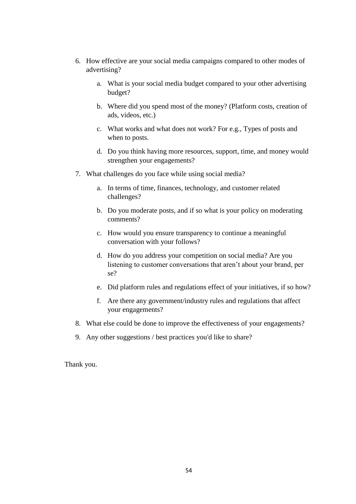- 6. How effective are your social media campaigns compared to other modes of advertising?
	- a. What is your social media budget compared to your other advertising budget?
	- b. Where did you spend most of the money? (Platform costs, creation of ads, videos, etc.)
	- c. What works and what does not work? For e.g., Types of posts and when to posts.
	- d. Do you think having more resources, support, time, and money would strengthen your engagements?
- 7. What challenges do you face while using social media?
	- a. In terms of time, finances, technology, and customer related challenges?
	- b. Do you moderate posts, and if so what is your policy on moderating comments?
	- c. How would you ensure transparency to continue a meaningful conversation with your follows?
	- d. How do you address your competition on social media? Are you listening to customer conversations that aren't about your brand, per se?
	- e. Did platform rules and regulations effect of your initiatives, if so how?
	- f. Are there any government/industry rules and regulations that affect your engagements?
- 8. What else could be done to improve the effectiveness of your engagements?
- 9. Any other suggestions / best practices you'd like to share?

Thank you.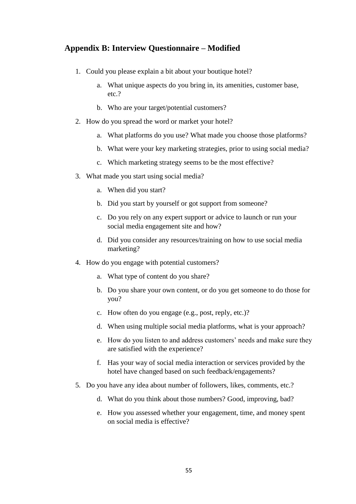# <span id="page-64-0"></span>**Appendix B: Interview Questionnaire – Modified**

- 1. Could you please explain a bit about your boutique hotel?
	- a. What unique aspects do you bring in, its amenities, customer base, etc.?
	- b. Who are your target/potential customers?
- 2. How do you spread the word or market your hotel?
	- a. What platforms do you use? What made you choose those platforms?
	- b. What were your key marketing strategies, prior to using social media?
	- c. Which marketing strategy seems to be the most effective?
- 3. What made you start using social media?
	- a. When did you start?
	- b. Did you start by yourself or got support from someone?
	- c. Do you rely on any expert support or advice to launch or run your social media engagement site and how?
	- d. Did you consider any resources/training on how to use social media marketing?
- 4. How do you engage with potential customers?
	- a. What type of content do you share?
	- b. Do you share your own content, or do you get someone to do those for you?
	- c. How often do you engage (e.g., post, reply, etc.)?
	- d. When using multiple social media platforms, what is your approach?
	- e. How do you listen to and address customers' needs and make sure they are satisfied with the experience?
	- f. Has your way of social media interaction or services provided by the hotel have changed based on such feedback/engagements?
- 5. Do you have any idea about number of followers, likes, comments, etc.?
	- d. What do you think about those numbers? Good, improving, bad?
	- e. How you assessed whether your engagement, time, and money spent on social media is effective?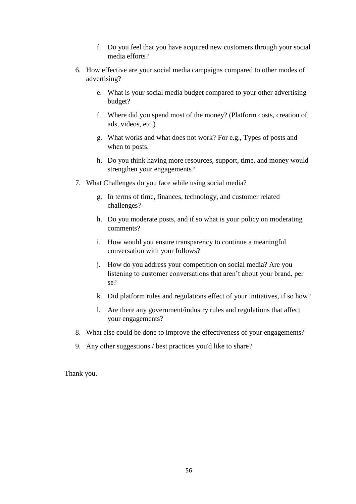- f. Do you feel that you have acquired new customers through your social media efforts?
- 6. How effective are your social media campaigns compared to other modes of advertising?
	- e. What is your social media budget compared to your other advertising budget?
	- f. Where did you spend most of the money? (Platform costs, creation of ads, videos, etc.)
	- g. What works and what does not work? For e.g., Types of posts and when to posts.
	- h. Do you think having more resources, support, time, and money would strengthen your engagements?
- 7. What Challenges do you face while using social media?
	- g. In terms of time, finances, technology, and customer related challenges?
	- h. Do you moderate posts, and if so what is your policy on moderating comments?
	- i. How would you ensure transparency to continue a meaningful conversation with your follows?
	- j. How do you address your competition on social media? Are you listening to customer conversations that aren't about your brand, per se?
	- k. Did platform rules and regulations effect of your initiatives, if so how?
	- l. Are there any government/industry rules and regulations that affect your engagements?
- 8. What else could be done to improve the effectiveness of your engagements?
- 9. Any other suggestions / best practices you'd like to share?

Thank you.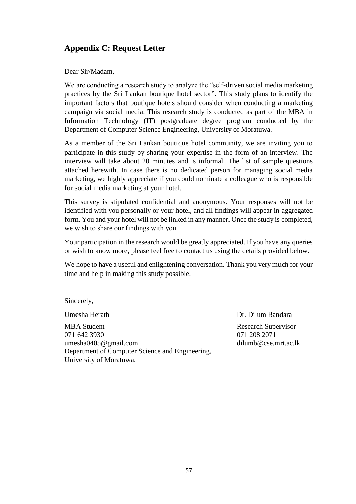# <span id="page-66-0"></span>**Appendix C: Request Letter**

Dear Sir/Madam,

We are conducting a research study to analyze the "self-driven social media marketing practices by the Sri Lankan boutique hotel sector". This study plans to identify the important factors that boutique hotels should consider when conducting a marketing campaign via social media. This research study is conducted as part of the MBA in Information Technology (IT) postgraduate degree program conducted by the Department of Computer Science Engineering, University of Moratuwa.

As a member of the Sri Lankan boutique hotel community, we are inviting you to participate in this study by sharing your expertise in the form of an interview. The interview will take about 20 minutes and is informal. The list of sample questions attached herewith. In case there is no dedicated person for managing social media marketing, we highly appreciate if you could nominate a colleague who is responsible for social media marketing at your hotel.

This survey is stipulated confidential and anonymous. Your responses will not be identified with you personally or your hotel, and all findings will appear in aggregated form. You and your hotel will not be linked in any manner. Once the study is completed, we wish to share our findings with you.

Your participation in the research would be greatly appreciated. If you have any queries or wish to know more, please feel free to contact us using the details provided below.

We hope to have a useful and enlightening conversation. Thank you very much for your time and help in making this study possible.

Sincerely,

MBA Student Research Supervisor 071 642 3930 071 208 2071 umesha0405@gmail.com dilumb@cse.mrt.ac.lk Department of Computer Science and Engineering, University of Moratuwa.

Umesha Herath Dr. Dilum Bandara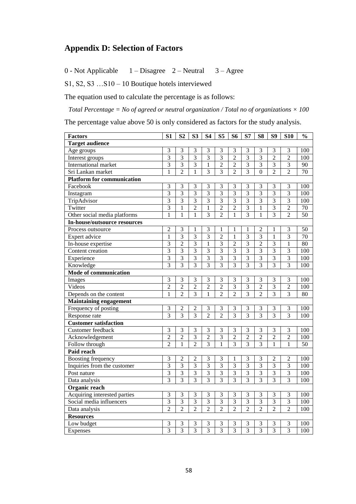# <span id="page-67-0"></span>**Appendix D: Selection of Factors**

0 - Not Applicable 1 – Disagree 2 – Neutral 3 – Agree

S1, S2, S3 …S10 – 10 Boutique hotels interviewed

The equation used to calculate the percentage is as follows:

*Total Percentage = No of agreed or neutral organization / Total no of organizations × 100*

The percentage value above 50 is only considered as factors for the study analysis.

| <b>Factors</b>                      | S <sub>1</sub> | S <sub>2</sub>          | S <sub>3</sub> | <b>S4</b>      | S <sub>5</sub>          | S <sub>6</sub>          | S7             | S <sub>8</sub> | S9                      | <b>S10</b>     | $\frac{0}{0}$   |
|-------------------------------------|----------------|-------------------------|----------------|----------------|-------------------------|-------------------------|----------------|----------------|-------------------------|----------------|-----------------|
| <b>Target audience</b>              |                |                         |                |                |                         |                         |                |                |                         |                |                 |
| Age groups                          | 3              | 3                       | 3              | 3              | 3                       | 3                       | 3              | 3              | 3                       | 3              | 100             |
| Interest groups                     | 3              | 3                       | $\overline{3}$ | $\overline{3}$ | 3                       | $\overline{2}$          | $\overline{3}$ | $\overline{3}$ | $\overline{2}$          | $\overline{2}$ | 100             |
| International market                |                | $\overline{3}$          | $\overline{3}$ | $\mathbf{1}$   | $\overline{2}$          | $\overline{2}$          | $\overline{3}$ | $\overline{3}$ | $\overline{3}$          | $\overline{3}$ | 90              |
| Sri Lankan market                   | $\mathbf{1}$   | $\overline{2}$          | 1              | $\overline{3}$ | $\overline{3}$          | $\overline{2}$          | $\overline{3}$ | $\overline{0}$ | $\overline{2}$          | $\overline{2}$ | $\overline{70}$ |
| <b>Platform for communication</b>   |                |                         |                |                |                         |                         |                |                |                         |                |                 |
| Facebook                            | 3              | 3                       | 3              | 3              | 3                       | 3                       | 3              | 3              | 3                       | 3              | 100             |
| Instagram                           | $\overline{3}$ | $\overline{3}$          | $\overline{3}$ | $\overline{3}$ | $\overline{3}$          | $\overline{3}$          | $\overline{3}$ | $\overline{3}$ | $\overline{3}$          | $\overline{3}$ | 100             |
| TripAdvisor                         | $\overline{3}$ | 3                       | 3              | $\overline{3}$ | $\overline{3}$          | $\overline{3}$          | $\overline{3}$ | $\overline{3}$ | $\overline{3}$          | $\overline{3}$ | 100             |
| Twitter                             | 3              | 1                       | $\overline{2}$ | $\mathbf{1}$   | $\overline{2}$          | $\overline{2}$          | $\overline{3}$ | 1              | $\overline{3}$          | $\overline{2}$ | 70              |
| Other social media platforms        | $\mathbf{1}$   | 1                       | $\mathbf{1}$   | $\overline{3}$ | $\overline{2}$          | $\mathbf{1}$            | $\overline{3}$ | $\mathbf{1}$   | $\overline{3}$          | $\overline{2}$ | $\overline{50}$ |
| <b>In-house/outsource resources</b> |                |                         |                |                |                         |                         |                |                |                         |                |                 |
| Process outsource                   | $\overline{2}$ | 3                       | 1              | $\overline{3}$ | 1                       | 1                       | 1              | $\overline{2}$ | 1                       | $\overline{3}$ | 50              |
| Expert advice                       | $\mathbf{1}$   | $\overline{3}$          | $\overline{3}$ | $\overline{3}$ | $\overline{2}$          | 1                       | $\overline{3}$ | $\overline{3}$ | 1                       | $\overline{3}$ | 70              |
| In-house expertise                  | 3              | $\overline{2}$          | $\overline{3}$ | $\mathbf{1}$   | 3                       | $\overline{2}$          | $\overline{3}$ | $\overline{2}$ | $\overline{3}$          | 1              | 80              |
| Content creation                    | 3              | 3                       | 3              | 3              | $\overline{\mathbf{3}}$ | $\overline{\mathbf{3}}$ | $\overline{3}$ | $\overline{3}$ | $\overline{3}$          | 3              | 100             |
| Experience                          | $\overline{3}$ | $\overline{3}$          | $\overline{3}$ | $\overline{3}$ | $\overline{3}$          | $\overline{3}$          | $\overline{3}$ | $\overline{3}$ | $\overline{3}$          | $\overline{3}$ | 100             |
| Knowledge                           | $\overline{3}$ | $\overline{3}$          | $\overline{3}$ | $\overline{3}$ | $\overline{3}$          | $\overline{3}$          | $\overline{3}$ | $\overline{3}$ | $\overline{3}$          | $\overline{3}$ | 100             |
| Mode of communication               |                |                         |                |                |                         |                         |                |                |                         |                |                 |
| Images                              | 3              | 3                       | 3              | 3              | 3                       | 3                       | 3              | 3              | 3                       | 3              | 100             |
| Videos                              | $\overline{2}$ | $\overline{2}$          | $\overline{2}$ | $\overline{2}$ | $\overline{2}$          | $\overline{3}$          | $\overline{3}$ | $\overline{2}$ | $\overline{3}$          | $\overline{2}$ | 100             |
| Depends on the content              |                | $\overline{2}$          | $\overline{3}$ | $\mathbf{1}$   | $\overline{2}$          | $\overline{2}$          | $\overline{3}$ | $\overline{2}$ | $\overline{3}$          | $\overline{3}$ | 80              |
| <b>Maintaining engagement</b>       |                |                         |                |                |                         |                         |                |                |                         |                |                 |
| Frequency of posting                | $\overline{3}$ | $\overline{2}$          | $\overline{2}$ | 3              | $\mathfrak{Z}$          | 3                       | 3              | $\mathfrak{Z}$ | $\mathfrak{Z}$          | 3              | 100             |
| Response rate                       | 3              | 3                       | 3              | $\overline{2}$ | $\overline{2}$          | $\overline{3}$          | $\overline{3}$ | 3              | 3                       | 3              | 100             |
| <b>Customer satisfaction</b>        |                |                         |                |                |                         |                         |                |                |                         |                |                 |
| Customer feedback                   | 3              | 3                       | 3              | 3              | $\overline{3}$          | $\overline{3}$          | $\overline{3}$ | 3              | $\overline{3}$          | 3              | 100             |
| Acknowledgement                     | $\overline{2}$ | $\overline{2}$          | $\overline{3}$ | $\overline{2}$ | $\overline{3}$          | $\overline{2}$          | $\overline{2}$ | $\overline{2}$ | $\overline{2}$          | $\overline{2}$ | 100             |
| Follow through                      | $\overline{2}$ | 1                       | $\overline{2}$ | $\overline{3}$ | 1                       | $\overline{3}$          | $\overline{3}$ | $\overline{3}$ | $\mathbf{1}$            | 1              | 50              |
| Paid reach                          |                |                         |                |                |                         |                         |                |                |                         |                |                 |
| <b>Boosting frequency</b>           | 3              | $\overline{2}$          | $\overline{2}$ | 3              | 3                       | 1                       | 3              | 3              | $\overline{2}$          | 2              | 100             |
| Inquiries from the customer         | $\overline{3}$ | $\overline{3}$          | $\overline{3}$ | $\overline{3}$ | $\overline{3}$          | $\overline{3}$          | $\overline{3}$ | $\overline{3}$ | $\overline{3}$          | $\overline{3}$ | 100             |
| Post nature                         | $\overline{3}$ | $\overline{\mathbf{3}}$ | $\overline{3}$ | $\overline{3}$ | $\overline{\mathbf{3}}$ | $\overline{3}$          | $\overline{3}$ | $\overline{3}$ | $\overline{\mathbf{3}}$ | $\overline{3}$ | 100             |
| Data analysis                       | $\overline{3}$ | $\overline{3}$          | $\overline{3}$ | $\overline{3}$ | $\overline{3}$          | $\overline{3}$          | $\overline{3}$ | $\overline{3}$ | $\overline{3}$          | 3              | 100             |
| Organic reach                       |                |                         |                |                |                         |                         |                |                |                         |                |                 |
| Acquiring interested parties        | 3              | 3                       | 3              | 3              | 3                       | 3                       | 3              | 3              | 3                       | 3              | 100             |
| Social media influencers            | $\overline{3}$ | $\overline{3}$          | $\overline{3}$ | $\overline{3}$ | $\overline{3}$          | $\overline{3}$          | $\overline{3}$ | $\overline{3}$ | $\overline{3}$          | $\overline{3}$ | 100             |
| Data analysis                       |                | $\overline{c}$          | $\overline{2}$ | $\overline{2}$ | $\overline{2}$          | $\overline{2}$          | $\overline{2}$ | $\overline{2}$ | $\overline{2}$          | $\overline{2}$ | 100             |
| <b>Resources</b>                    |                |                         |                |                |                         |                         |                |                |                         |                |                 |
| Low budget                          | 3              | 3                       | 3              | 3              | 3                       | 3                       | 3              | 3              | 3                       | 3              | 100             |
| Expenses                            | 3              | $\overline{3}$          | $\overline{3}$ | 3              | 3                       | 3                       | $\overline{3}$ | 3              | 3                       | 3              | 100             |